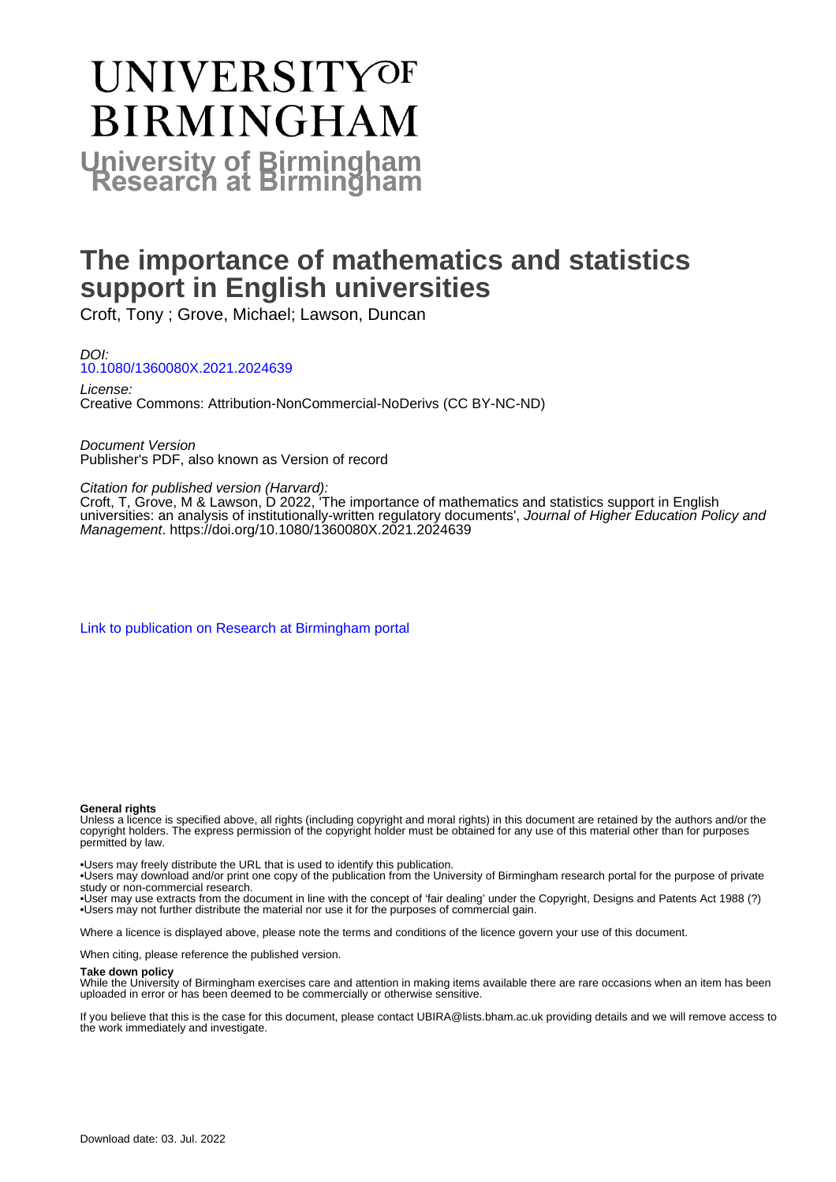# **UNIVERSITYOF BIRMINGHAM University of Birmingham**

### **The importance of mathematics and statistics support in English universities**

Croft, Tony ; Grove, Michael; Lawson, Duncan

DOI: [10.1080/1360080X.2021.2024639](https://doi.org/10.1080/1360080X.2021.2024639)

License: Creative Commons: Attribution-NonCommercial-NoDerivs (CC BY-NC-ND)

Document Version Publisher's PDF, also known as Version of record

#### Citation for published version (Harvard):

Croft, T, Grove, M & Lawson, D 2022, 'The importance of mathematics and statistics support in English universities: an analysis of institutionally-written regulatory documents', Journal of Higher Education Policy and Management. <https://doi.org/10.1080/1360080X.2021.2024639>

[Link to publication on Research at Birmingham portal](https://birmingham.elsevierpure.com/en/publications/23c7b065-43da-48ac-800c-e76e205e2cee)

#### **General rights**

Unless a licence is specified above, all rights (including copyright and moral rights) in this document are retained by the authors and/or the copyright holders. The express permission of the copyright holder must be obtained for any use of this material other than for purposes permitted by law.

• Users may freely distribute the URL that is used to identify this publication.

• Users may download and/or print one copy of the publication from the University of Birmingham research portal for the purpose of private study or non-commercial research.

• User may use extracts from the document in line with the concept of 'fair dealing' under the Copyright, Designs and Patents Act 1988 (?) • Users may not further distribute the material nor use it for the purposes of commercial gain.

Where a licence is displayed above, please note the terms and conditions of the licence govern your use of this document.

When citing, please reference the published version.

#### **Take down policy**

While the University of Birmingham exercises care and attention in making items available there are rare occasions when an item has been uploaded in error or has been deemed to be commercially or otherwise sensitive.

If you believe that this is the case for this document, please contact UBIRA@lists.bham.ac.uk providing details and we will remove access to the work immediately and investigate.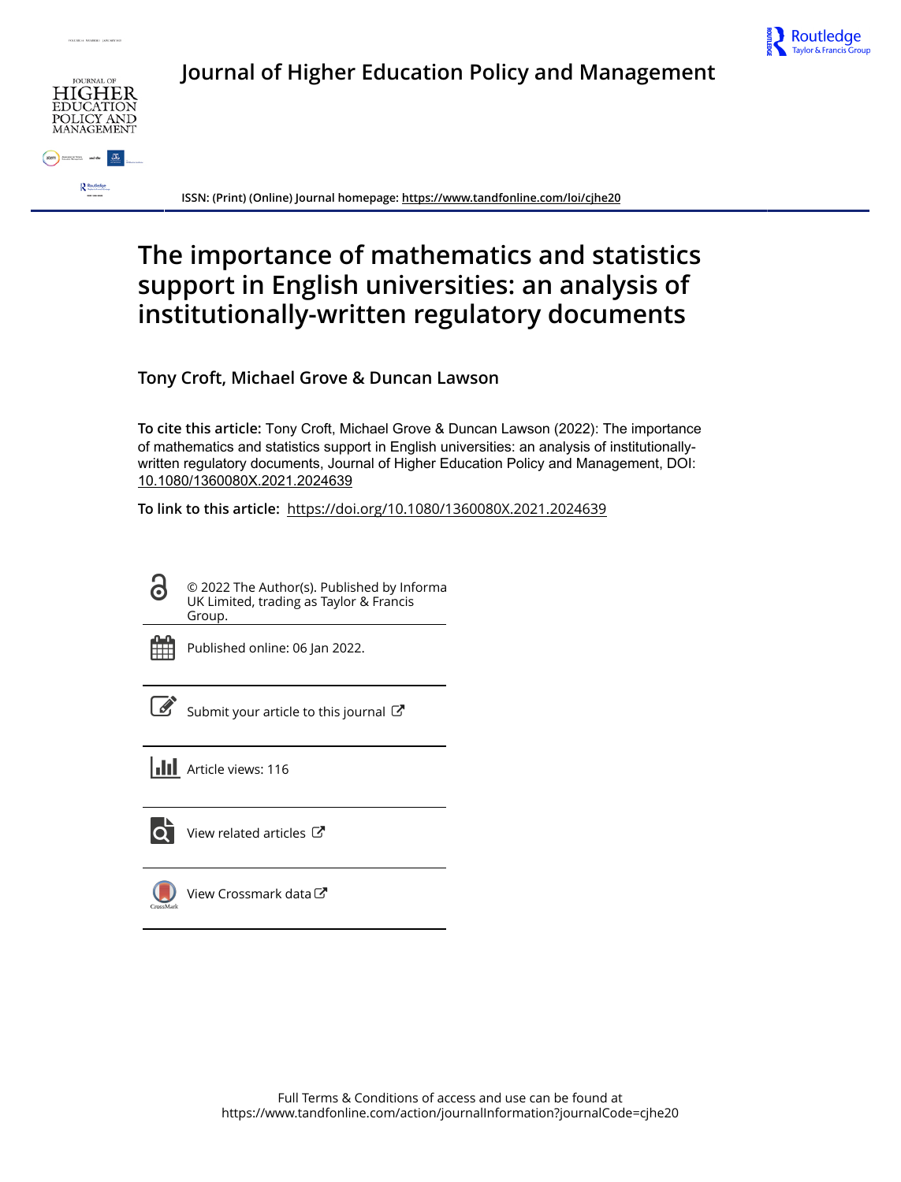



**Journal of Higher Education Policy and Management**



**ISSN: (Print) (Online) Journal homepage:<https://www.tandfonline.com/loi/cjhe20>**

## **The importance of mathematics and statistics support in English universities: an analysis of institutionally-written regulatory documents**

**Tony Croft, Michael Grove & Duncan Lawson**

**To cite this article:** Tony Croft, Michael Grove & Duncan Lawson (2022): The importance of mathematics and statistics support in English universities: an analysis of institutionallywritten regulatory documents, Journal of Higher Education Policy and Management, DOI: [10.1080/1360080X.2021.2024639](https://www.tandfonline.com/action/showCitFormats?doi=10.1080/1360080X.2021.2024639)

**To link to this article:** <https://doi.org/10.1080/1360080X.2021.2024639>

ര

© 2022 The Author(s). Published by Informa UK Limited, trading as Taylor & Francis Group.



Published online: 06 Jan 2022.

[Submit your article to this journal](https://www.tandfonline.com/action/authorSubmission?journalCode=cjhe20&show=instructions)  $\mathbb{Z}$ 





 $\overrightarrow{Q}$  [View related articles](https://www.tandfonline.com/doi/mlt/10.1080/1360080X.2021.2024639)  $\overrightarrow{C}$ 



[View Crossmark data](http://crossmark.crossref.org/dialog/?doi=10.1080/1360080X.2021.2024639&domain=pdf&date_stamp=2022-01-06)<sup>で</sup>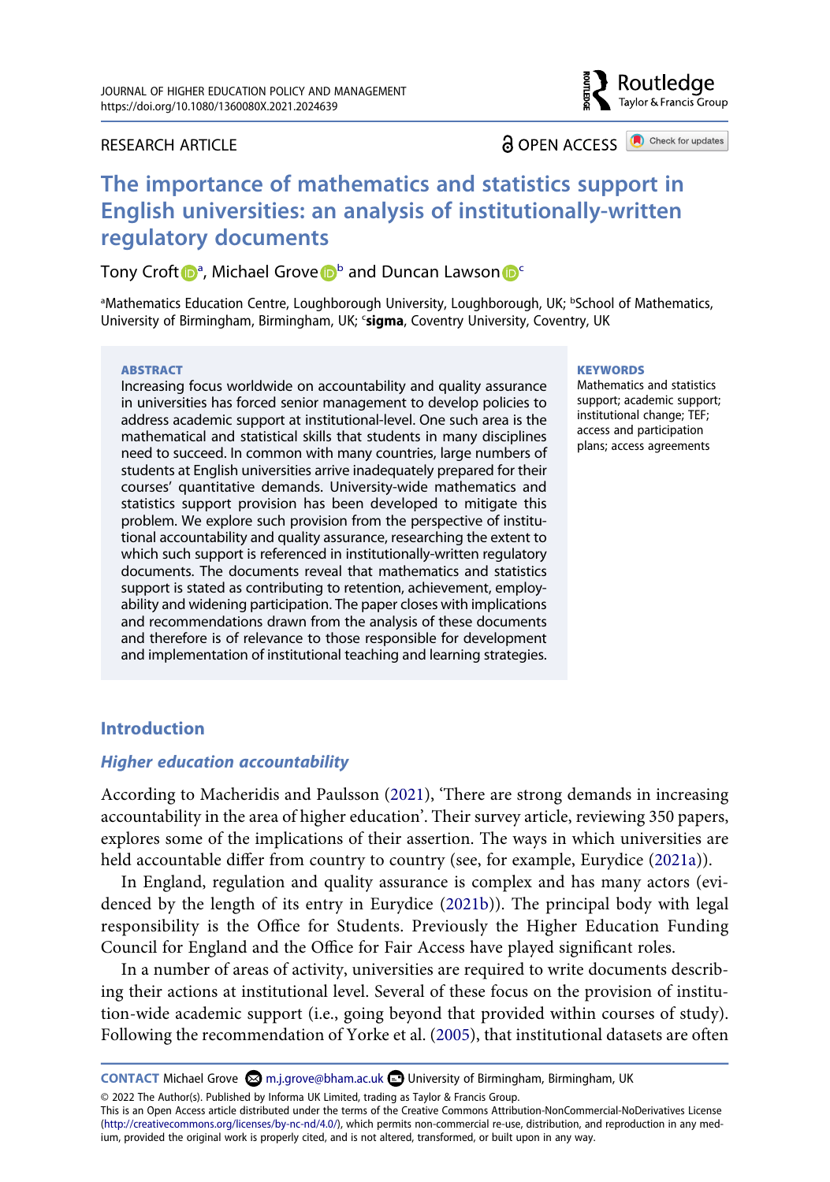#### RESEARCH ARTICLE

**a** OPEN ACCESS **a** Check for updates

Routledge Taylor & Francis Group

### **The importance of mathematics and statistics support in English universities: an analysis of institutionally-written regulatory documents**

#### Tony Croft **D**<sup>[a](#page-2-0)</sup>, Micha[e](http://orcid.org/0000-0002-3150-125X)l Grove D<sup>[b](#page-2-0)</sup> and Dun[c](#page-2-1)an Lawson D<sup>e</sup>

<span id="page-2-1"></span><span id="page-2-0"></span><sup>a</sup>Mathematics Education Centre, Loughborough University, Loughborough, UK; <sup>b</sup>School of Mathematics, University of Birmingham, Birmingham, UK; 'sigma, Coventry University, Coventry, UK

#### **ABSTRACT**

Increasing focus worldwide on accountability and quality assurance in universities has forced senior management to develop policies to address academic support at institutional-level. One such area is the mathematical and statistical skills that students in many disciplines need to succeed. In common with many countries, large numbers of students at English universities arrive inadequately prepared for their courses' quantitative demands. University-wide mathematics and statistics support provision has been developed to mitigate this problem. We explore such provision from the perspective of institutional accountability and quality assurance, researching the extent to which such support is referenced in institutionally-written regulatory documents. The documents reveal that mathematics and statistics support is stated as contributing to retention, achievement, employability and widening participation. The paper closes with implications and recommendations drawn from the analysis of these documents and therefore is of relevance to those responsible for development and implementation of institutional teaching and learning strategies.

#### **KEYWORDS**

Mathematics and statistics support; academic support; institutional change; TEF; access and participation plans; access agreements

#### **Introduction**

#### *Higher education accountability*

<span id="page-2-4"></span>According to Macheridis and Paulsson [\(2021](#page-16-0)), 'There are strong demands in increasing accountability in the area of higher education'. Their survey article, reviewing 350 papers, explores some of the implications of their assertion. The ways in which universities are held accountable differ from country to country (see, for example, Eurydice [\(2021a\)](#page-16-1)).

<span id="page-2-3"></span><span id="page-2-2"></span>In England, regulation and quality assurance is complex and has many actors (evidenced by the length of its entry in Eurydice [\(2021b\)](#page-16-2)). The principal body with legal responsibility is the Office for Students. Previously the Higher Education Funding Council for England and the Office for Fair Access have played significant roles.

In a number of areas of activity, universities are required to write documents describing their actions at institutional level. Several of these focus on the provision of institution-wide academic support (i.e., going beyond that provided within courses of study). Following the recommendation of Yorke et al. [\(2005](#page-17-0)), that institutional datasets are often

<span id="page-2-5"></span>**CONTACT** Michael Grove **۞** m.j.grove@bham.ac.uk **■** University of Birmingham, Birmingham, UK

© 2022 The Author(s). Published by Informa UK Limited, trading as Taylor & Francis Group.

This is an Open Access article distributed under the terms of the Creative Commons Attribution-NonCommercial-NoDerivatives License (http://creativecommons.org/licenses/by-nc-nd/4.0/), which permits non-commercial re-use, distribution, and reproduction in any medium, provided the original work is properly cited, and is not altered, transformed, or built upon in any way.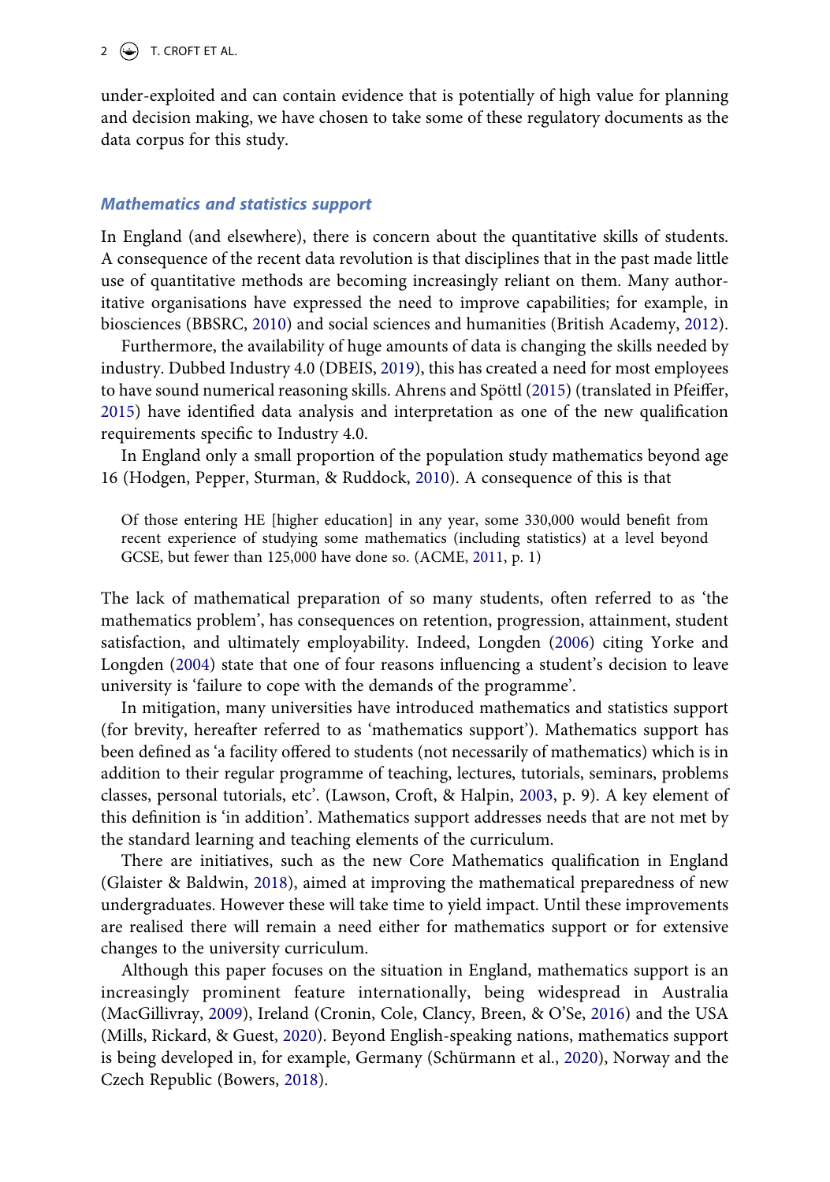under-exploited and can contain evidence that is potentially of high value for planning and decision making, we have chosen to take some of these regulatory documents as the data corpus for this study.

#### *Mathematics and statistics support*

In England (and elsewhere), there is concern about the quantitative skills of students. A consequence of the recent data revolution is that disciplines that in the past made little use of quantitative methods are becoming increasingly reliant on them. Many authoritative organisations have expressed the need to improve capabilities; for example, in biosciences (BBSRC, [2010](#page-15-0)) and social sciences and humanities (British Academy, [2012](#page-15-1)).

<span id="page-3-5"></span><span id="page-3-2"></span><span id="page-3-1"></span>Furthermore, the availability of huge amounts of data is changing the skills needed by industry. Dubbed Industry 4.0 (DBEIS, [2019](#page-16-3)), this has created a need for most employees to have sound numerical reasoning skills. Ahrens and Spöttl [\(2015](#page-15-2)) (translated in Pfeiffer, [2015](#page-17-1)) have identified data analysis and interpretation as one of the new qualification requirements specific to Industry 4.0.

<span id="page-3-7"></span>In England only a small proportion of the population study mathematics beyond age 16 (Hodgen, Pepper, Sturman, & Ruddock, [2010](#page-16-4)). A consequence of this is that

<span id="page-3-0"></span>Of those entering HE [higher education] in any year, some 330,000 would benefit from recent experience of studying some mathematics (including statistics) at a level beyond GCSE, but fewer than 125,000 have done so. (ACME, [2011](#page-15-3), p. 1)

<span id="page-3-9"></span>The lack of mathematical preparation of so many students, often referred to as 'the mathematics problem', has consequences on retention, progression, attainment, student satisfaction, and ultimately employability. Indeed, Longden ([2006](#page-16-5)) citing Yorke and Longden [\(2004\)](#page-17-2) state that one of four reasons influencing a student's decision to leave university is 'failure to cope with the demands of the programme'.

<span id="page-3-12"></span>In mitigation, many universities have introduced mathematics and statistics support (for brevity, hereafter referred to as 'mathematics support'). Mathematics support has been defined as 'a facility offered to students (not necessarily of mathematics) which is in addition to their regular programme of teaching, lectures, tutorials, seminars, problems classes, personal tutorials, etc'. (Lawson, Croft, & Halpin, [2003,](#page-16-6) p. 9). A key element of this definition is 'in addition'. Mathematics support addresses needs that are not met by the standard learning and teaching elements of the curriculum.

<span id="page-3-8"></span><span id="page-3-6"></span>There are initiatives, such as the new Core Mathematics qualification in England (Glaister & Baldwin, [2018\)](#page-16-7), aimed at improving the mathematical preparedness of new undergraduates. However these will take time to yield impact. Until these improvements are realised there will remain a need either for mathematics support or for extensive changes to the university curriculum.

<span id="page-3-11"></span><span id="page-3-10"></span><span id="page-3-4"></span><span id="page-3-3"></span>Although this paper focuses on the situation in England, mathematics support is an increasingly prominent feature internationally, being widespread in Australia (MacGillivray, [2009](#page-16-8)), Ireland (Cronin, Cole, Clancy, Breen, & O'Se, [2016](#page-16-9)) and the USA (Mills, Rickard, & Guest, [2020](#page-17-3)). Beyond English-speaking nations, mathematics support is being developed in, for example, Germany (Schürmann et al., [2020](#page-17-4)), Norway and the Czech Republic (Bowers, [2018](#page-15-4)).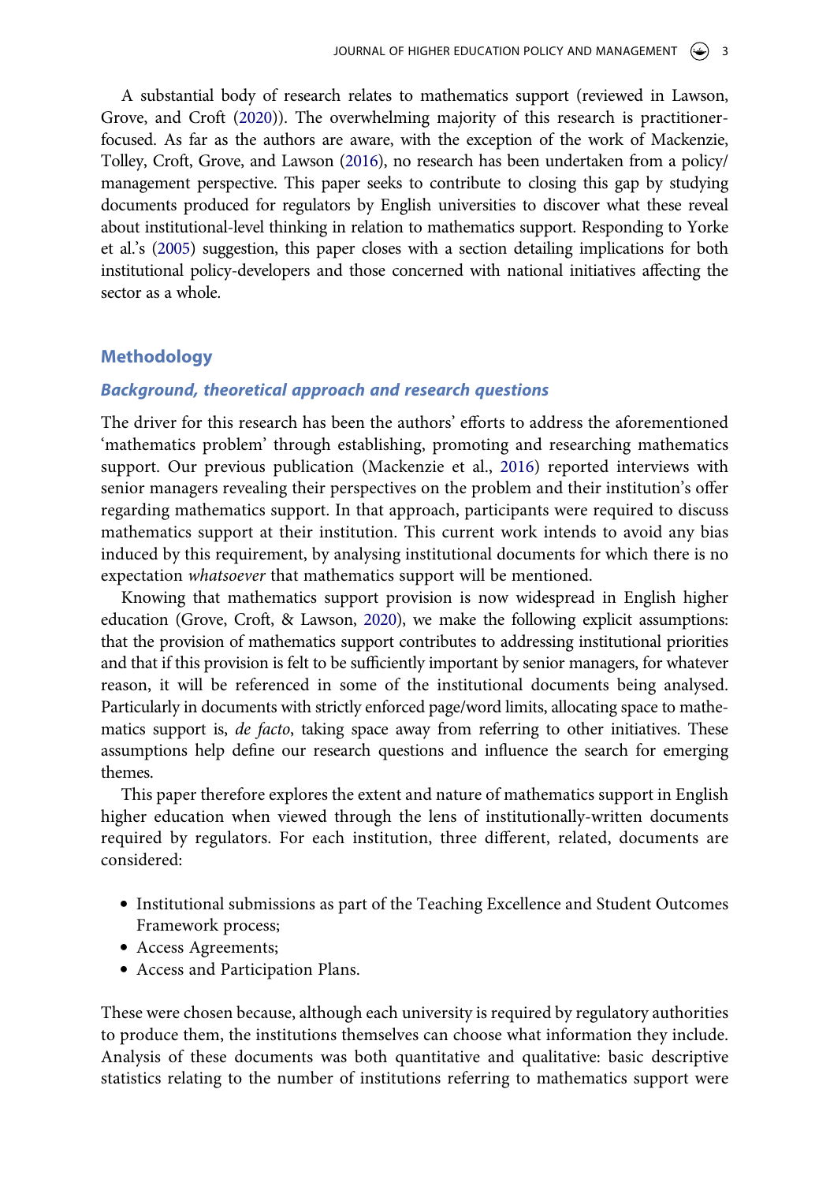<span id="page-4-1"></span>A substantial body of research relates to mathematics support (reviewed in Lawson, Grove, and Croft [\(2020\)](#page-16-10)). The overwhelming majority of this research is practitionerfocused. As far as the authors are aware, with the exception of the work of Mackenzie, Tolley, Croft, Grove, and Lawson [\(2016\)](#page-17-5), no research has been undertaken from a policy/ management perspective. This paper seeks to contribute to closing this gap by studying documents produced for regulators by English universities to discover what these reveal about institutional-level thinking in relation to mathematics support. Responding to Yorke et al.'s ([2005\)](#page-17-0) suggestion, this paper closes with a section detailing implications for both institutional policy-developers and those concerned with national initiatives affecting the sector as a whole.

#### **Methodology**

#### *Background, theoretical approach and research questions*

<span id="page-4-2"></span>The driver for this research has been the authors' efforts to address the aforementioned 'mathematics problem' through establishing, promoting and researching mathematics support. Our previous publication (Mackenzie et al., [2016\)](#page-17-5) reported interviews with senior managers revealing their perspectives on the problem and their institution's offer regarding mathematics support. In that approach, participants were required to discuss mathematics support at their institution. This current work intends to avoid any bias induced by this requirement, by analysing institutional documents for which there is no expectation *whatsoever* that mathematics support will be mentioned.

<span id="page-4-0"></span>Knowing that mathematics support provision is now widespread in English higher education (Grove, Croft, & Lawson, [2020\)](#page-16-11), we make the following explicit assumptions: that the provision of mathematics support contributes to addressing institutional priorities and that if this provision is felt to be sufficiently important by senior managers, for whatever reason, it will be referenced in some of the institutional documents being analysed. Particularly in documents with strictly enforced page/word limits, allocating space to mathematics support is, *de facto*, taking space away from referring to other initiatives. These assumptions help define our research questions and influence the search for emerging themes.

This paper therefore explores the extent and nature of mathematics support in English higher education when viewed through the lens of institutionally-written documents required by regulators. For each institution, three different, related, documents are considered:

- Institutional submissions as part of the Teaching Excellence and Student Outcomes Framework process;
- Access Agreements;
- Access and Participation Plans.

These were chosen because, although each university is required by regulatory authorities to produce them, the institutions themselves can choose what information they include. Analysis of these documents was both quantitative and qualitative: basic descriptive statistics relating to the number of institutions referring to mathematics support were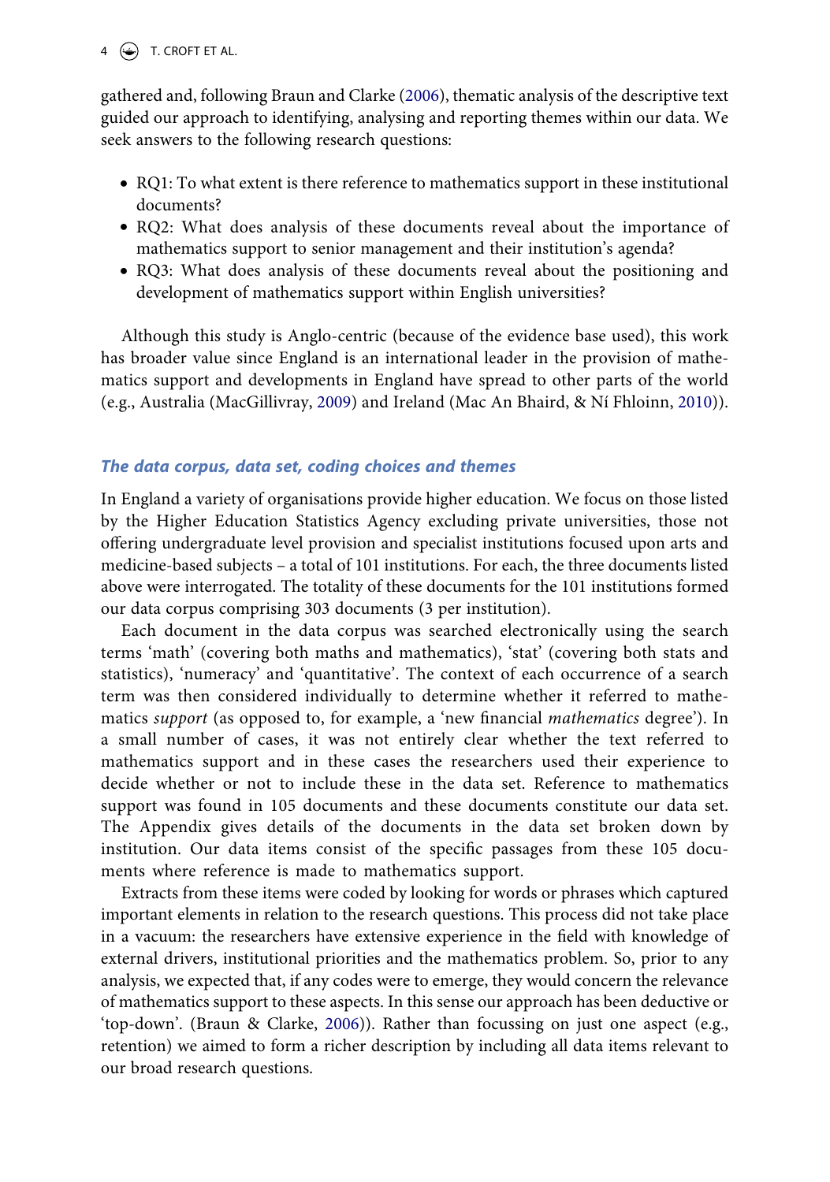$4 \quad (*)$  T. CROFT ET AL.

gathered and, following Braun and Clarke ([2006](#page-15-5)), thematic analysis of the descriptive text guided our approach to identifying, analysing and reporting themes within our data. We seek answers to the following research questions:

- RQ1: To what extent is there reference to mathematics support in these institutional documents?
- RQ2: What does analysis of these documents reveal about the importance of mathematics support to senior management and their institution's agenda?
- RQ3: What does analysis of these documents reveal about the positioning and development of mathematics support within English universities?

<span id="page-5-1"></span>Although this study is Anglo-centric (because of the evidence base used), this work has broader value since England is an international leader in the provision of mathematics support and developments in England have spread to other parts of the world (e.g., Australia (MacGillivray, [2009\)](#page-16-8) and Ireland (Mac An Bhaird, & Ní Fhloinn, [2010](#page-16-12))).

#### *The data corpus, data set, coding choices and themes*

In England a variety of organisations provide higher education. We focus on those listed by the Higher Education Statistics Agency excluding private universities, those not offering undergraduate level provision and specialist institutions focused upon arts and medicine-based subjects – a total of 101 institutions. For each, the three documents listed above were interrogated. The totality of these documents for the 101 institutions formed our data corpus comprising 303 documents (3 per institution).

Each document in the data corpus was searched electronically using the search terms 'math' (covering both maths and mathematics), 'stat' (covering both stats and statistics), 'numeracy' and 'quantitative'. The context of each occurrence of a search term was then considered individually to determine whether it referred to mathematics *support* (as opposed to, for example, a 'new financial *mathematics* degree'). In a small number of cases, it was not entirely clear whether the text referred to mathematics support and in these cases the researchers used their experience to decide whether or not to include these in the data set. Reference to mathematics support was found in 105 documents and these documents constitute our data set. The Appendix gives details of the documents in the data set broken down by institution. Our data items consist of the specific passages from these 105 documents where reference is made to mathematics support.

<span id="page-5-0"></span>Extracts from these items were coded by looking for words or phrases which captured important elements in relation to the research questions. This process did not take place in a vacuum: the researchers have extensive experience in the field with knowledge of external drivers, institutional priorities and the mathematics problem. So, prior to any analysis, we expected that, if any codes were to emerge, they would concern the relevance of mathematics support to these aspects. In this sense our approach has been deductive or 'top-down'. (Braun & Clarke, [2006\)](#page-15-5)). Rather than focussing on just one aspect (e.g., retention) we aimed to form a richer description by including all data items relevant to our broad research questions.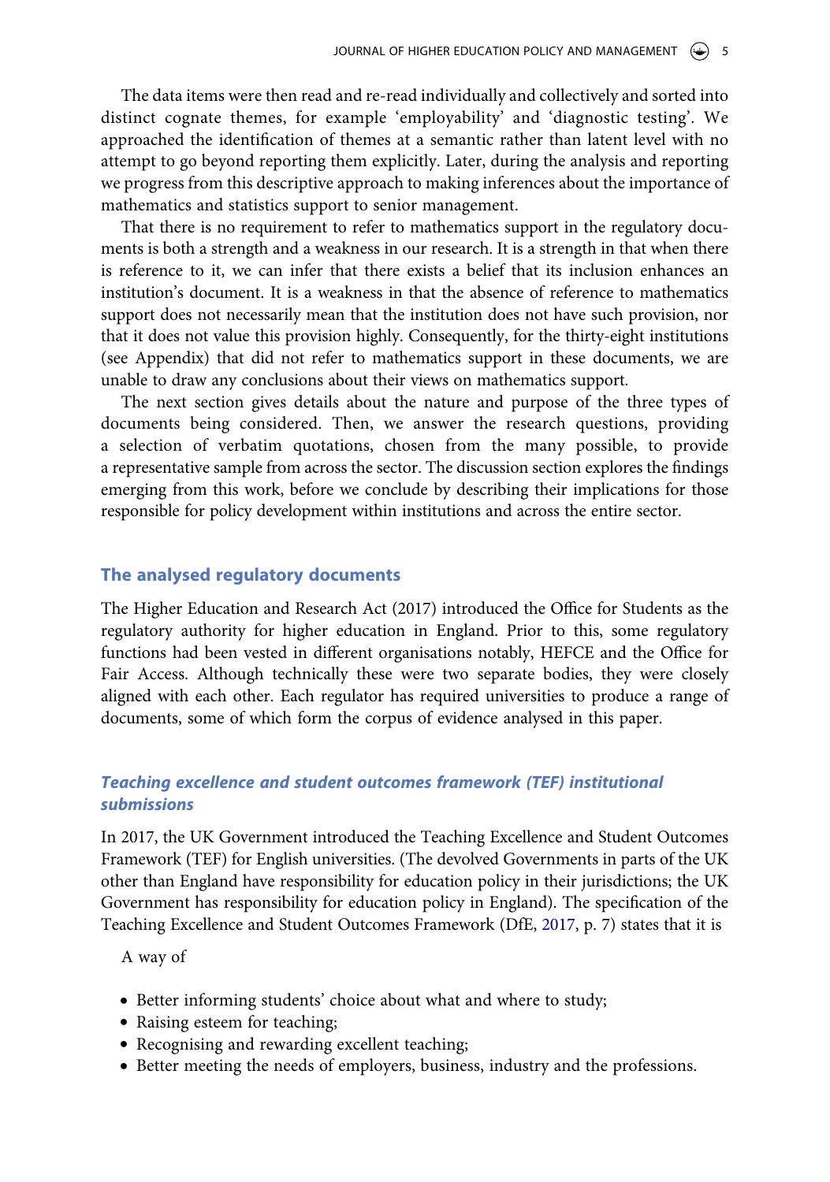The data items were then read and re-read individually and collectively and sorted into distinct cognate themes, for example 'employability' and 'diagnostic testing'. We approached the identification of themes at a semantic rather than latent level with no attempt to go beyond reporting them explicitly. Later, during the analysis and reporting we progress from this descriptive approach to making inferences about the importance of mathematics and statistics support to senior management.

That there is no requirement to refer to mathematics support in the regulatory documents is both a strength and a weakness in our research. It is a strength in that when there is reference to it, we can infer that there exists a belief that its inclusion enhances an institution's document. It is a weakness in that the absence of reference to mathematics support does not necessarily mean that the institution does not have such provision, nor that it does not value this provision highly. Consequently, for the thirty-eight institutions (see Appendix) that did not refer to mathematics support in these documents, we are unable to draw any conclusions about their views on mathematics support.

The next section gives details about the nature and purpose of the three types of documents being considered. Then, we answer the research questions, providing a selection of verbatim quotations, chosen from the many possible, to provide a representative sample from across the sector. The discussion section explores the findings emerging from this work, before we conclude by describing their implications for those responsible for policy development within institutions and across the entire sector.

#### **The analysed regulatory documents**

The Higher Education and Research Act (2017) introduced the Office for Students as the regulatory authority for higher education in England. Prior to this, some regulatory functions had been vested in different organisations notably, HEFCE and the Office for Fair Access. Although technically these were two separate bodies, they were closely aligned with each other. Each regulator has required universities to produce a range of documents, some of which form the corpus of evidence analysed in this paper.

#### *Teaching excellence and student outcomes framework (TEF) institutional submissions*

In 2017, the UK Government introduced the Teaching Excellence and Student Outcomes Framework (TEF) for English universities. (The devolved Governments in parts of the UK other than England have responsibility for education policy in their jurisdictions; the UK Government has responsibility for education policy in England). The specification of the Teaching Excellence and Student Outcomes Framework (DfE, [2017,](#page-16-13) p. 7) states that it is

<span id="page-6-0"></span>A way of

- Better informing students' choice about what and where to study;
- Raising esteem for teaching;
- Recognising and rewarding excellent teaching;
- Better meeting the needs of employers, business, industry and the professions.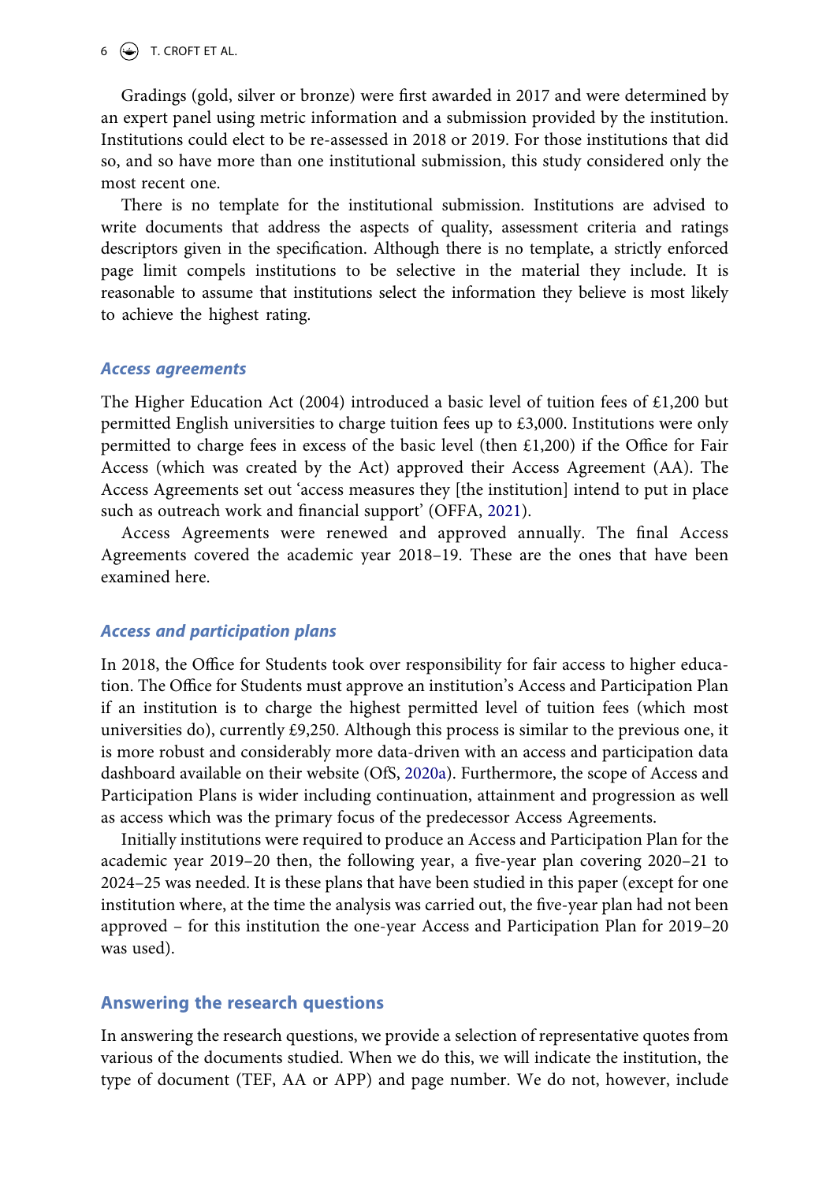$6 \quad (*)$  T. CROFT ET AL.

Gradings (gold, silver or bronze) were first awarded in 2017 and were determined by an expert panel using metric information and a submission provided by the institution. Institutions could elect to be re-assessed in 2018 or 2019. For those institutions that did so, and so have more than one institutional submission, this study considered only the most recent one.

There is no template for the institutional submission. Institutions are advised to write documents that address the aspects of quality, assessment criteria and ratings descriptors given in the specification. Although there is no template, a strictly enforced page limit compels institutions to be selective in the material they include. It is reasonable to assume that institutions select the information they believe is most likely to achieve the highest rating.

#### *Access agreements*

The Higher Education Act (2004) introduced a basic level of tuition fees of £1,200 but permitted English universities to charge tuition fees up to £3,000. Institutions were only permitted to charge fees in excess of the basic level (then £1,200) if the Office for Fair Access (which was created by the Act) approved their Access Agreement (AA). The Access Agreements set out 'access measures they [the institution] intend to put in place such as outreach work and financial support' (OFFA, [2021](#page-17-6)).

<span id="page-7-0"></span>Access Agreements were renewed and approved annually. The final Access Agreements covered the academic year 2018–19. These are the ones that have been examined here.

#### *Access and participation plans*

In 2018, the Office for Students took over responsibility for fair access to higher education. The Office for Students must approve an institution's Access and Participation Plan if an institution is to charge the highest permitted level of tuition fees (which most universities do), currently £9,250. Although this process is similar to the previous one, it is more robust and considerably more data-driven with an access and participation data dashboard available on their website (OfS, [2020a](#page-17-7)). Furthermore, the scope of Access and Participation Plans is wider including continuation, attainment and progression as well as access which was the primary focus of the predecessor Access Agreements.

<span id="page-7-1"></span>Initially institutions were required to produce an Access and Participation Plan for the academic year 2019–20 then, the following year, a five-year plan covering 2020–21 to 2024–25 was needed. It is these plans that have been studied in this paper (except for one institution where, at the time the analysis was carried out, the five-year plan had not been approved – for this institution the one-year Access and Participation Plan for 2019–20 was used).

#### **Answering the research questions**

In answering the research questions, we provide a selection of representative quotes from various of the documents studied. When we do this, we will indicate the institution, the type of document (TEF, AA or APP) and page number. We do not, however, include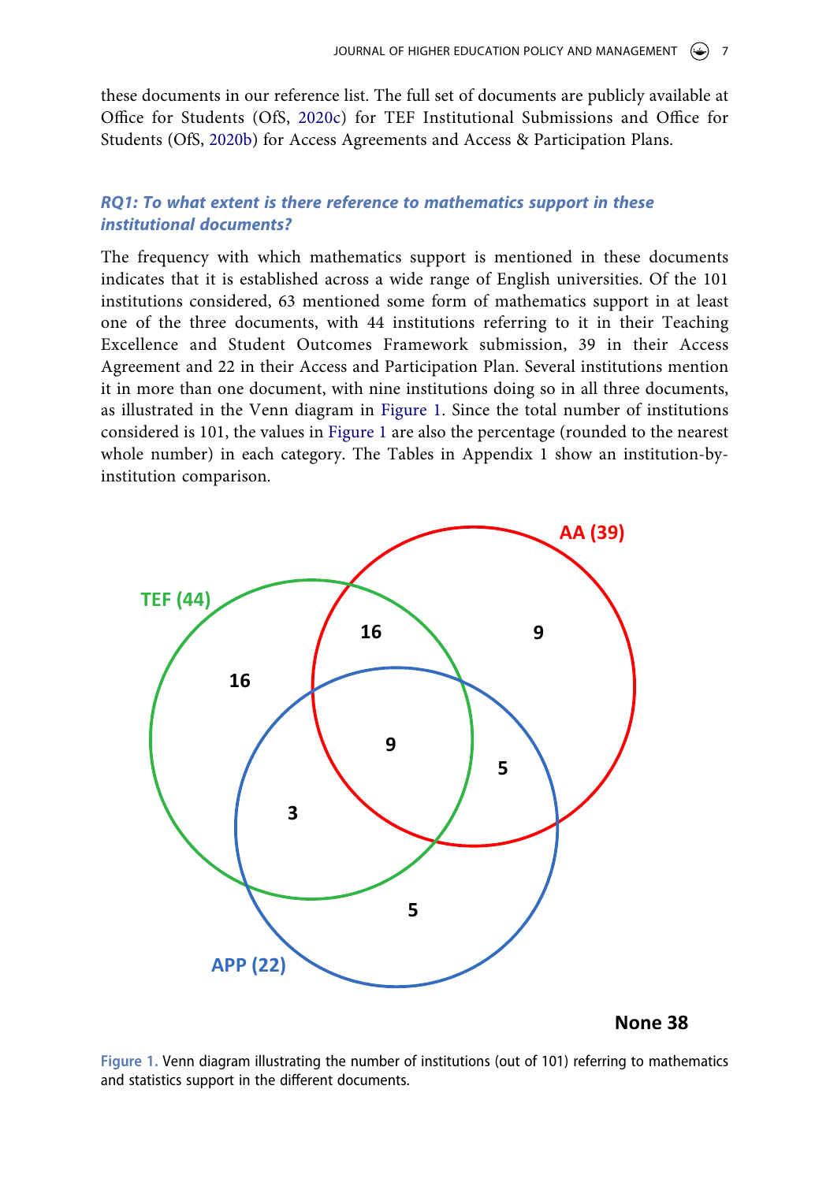<span id="page-8-2"></span><span id="page-8-1"></span>these documents in our reference list. The full set of documents are publicly available at Office for Students (OfS, [2020c\)](#page-17-8) for TEF Institutional Submissions and Office for Students (OfS, [2020b\)](#page-17-9) for Access Agreements and Access & Participation Plans.

#### *RQ1: To what extent is there reference to mathematics support in these institutional documents?*

The frequency with which mathematics support is mentioned in these documents indicates that it is established across a wide range of English universities. Of the 101 institutions considered, 63 mentioned some form of mathematics support in at least one of the three documents, with 44 institutions referring to it in their Teaching Excellence and Student Outcomes Framework submission, 39 in their Access Agreement and 22 in their Access and Participation Plan. Several institutions mention it in more than one document, with nine institutions doing so in all three documents, as illustrated in the Venn diagram in [Figure 1.](#page-8-0) Since the total number of institutions considered is 101, the values in [Figure 1](#page-8-0) are also the percentage (rounded to the nearest whole number) in each category. The Tables in Appendix 1 show an institution-byinstitution comparison.

<span id="page-8-0"></span>

**None 38**

**Figure 1.** Venn diagram illustrating the number of institutions (out of 101) referring to mathematics and statistics support in the different documents.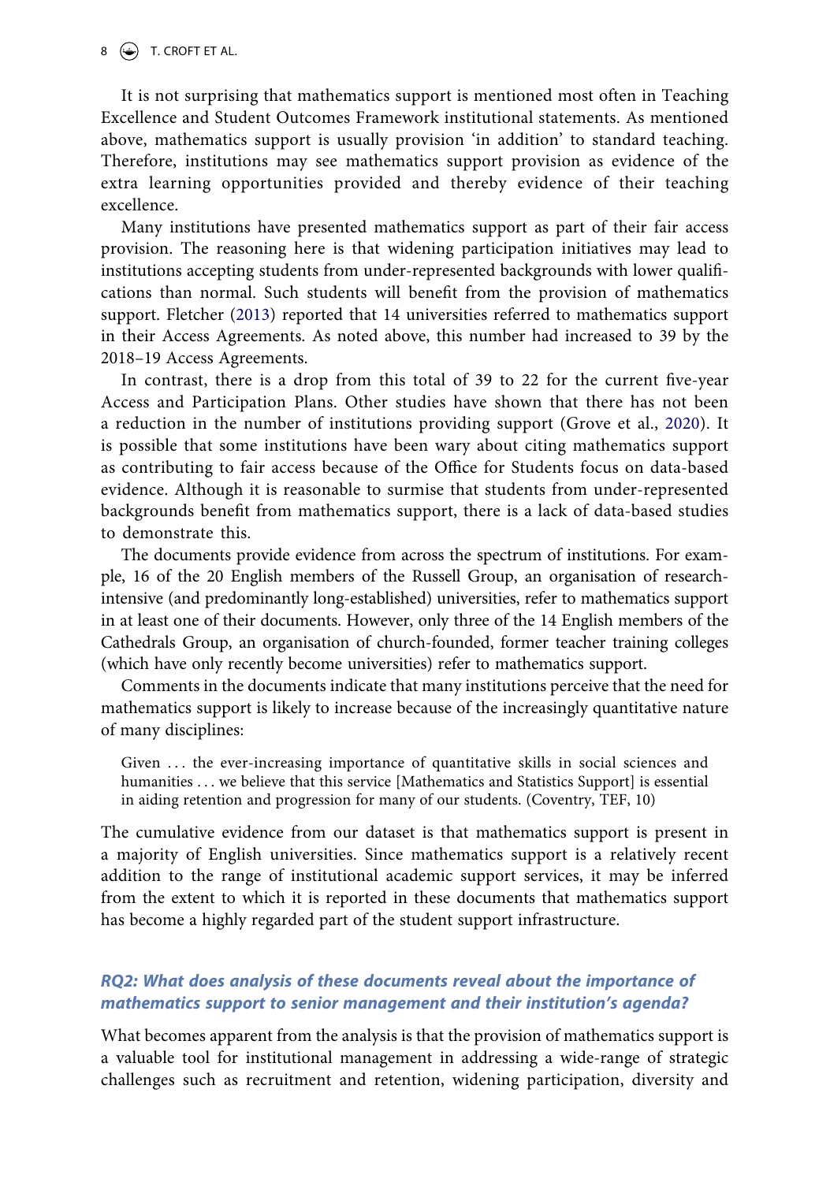It is not surprising that mathematics support is mentioned most often in Teaching Excellence and Student Outcomes Framework institutional statements. As mentioned above, mathematics support is usually provision 'in addition' to standard teaching. Therefore, institutions may see mathematics support provision as evidence of the extra learning opportunities provided and thereby evidence of their teaching excellence.

Many institutions have presented mathematics support as part of their fair access provision. The reasoning here is that widening participation initiatives may lead to institutions accepting students from under-represented backgrounds with lower qualifications than normal. Such students will benefit from the provision of mathematics support. Fletcher [\(2013](#page-16-14)) reported that 14 universities referred to mathematics support in their Access Agreements. As noted above, this number had increased to 39 by the 2018–19 Access Agreements.

<span id="page-9-0"></span>In contrast, there is a drop from this total of 39 to 22 for the current five-year Access and Participation Plans. Other studies have shown that there has not been a reduction in the number of institutions providing support (Grove et al., [2020](#page-16-11)). It is possible that some institutions have been wary about citing mathematics support as contributing to fair access because of the Office for Students focus on data-based evidence. Although it is reasonable to surmise that students from under-represented backgrounds benefit from mathematics support, there is a lack of data-based studies to demonstrate this.

The documents provide evidence from across the spectrum of institutions. For example, 16 of the 20 English members of the Russell Group, an organisation of researchintensive (and predominantly long-established) universities, refer to mathematics support in at least one of their documents. However, only three of the 14 English members of the Cathedrals Group, an organisation of church-founded, former teacher training colleges (which have only recently become universities) refer to mathematics support.

Comments in the documents indicate that many institutions perceive that the need for mathematics support is likely to increase because of the increasingly quantitative nature of many disciplines:

Given ... the ever-increasing importance of quantitative skills in social sciences and humanities ... we believe that this service [Mathematics and Statistics Support] is essential in aiding retention and progression for many of our students. (Coventry, TEF, 10)

The cumulative evidence from our dataset is that mathematics support is present in a majority of English universities. Since mathematics support is a relatively recent addition to the range of institutional academic support services, it may be inferred from the extent to which it is reported in these documents that mathematics support has become a highly regarded part of the student support infrastructure.

#### *RQ2: What does analysis of these documents reveal about the importance of mathematics support to senior management and their institution's agenda?*

What becomes apparent from the analysis is that the provision of mathematics support is a valuable tool for institutional management in addressing a wide-range of strategic challenges such as recruitment and retention, widening participation, diversity and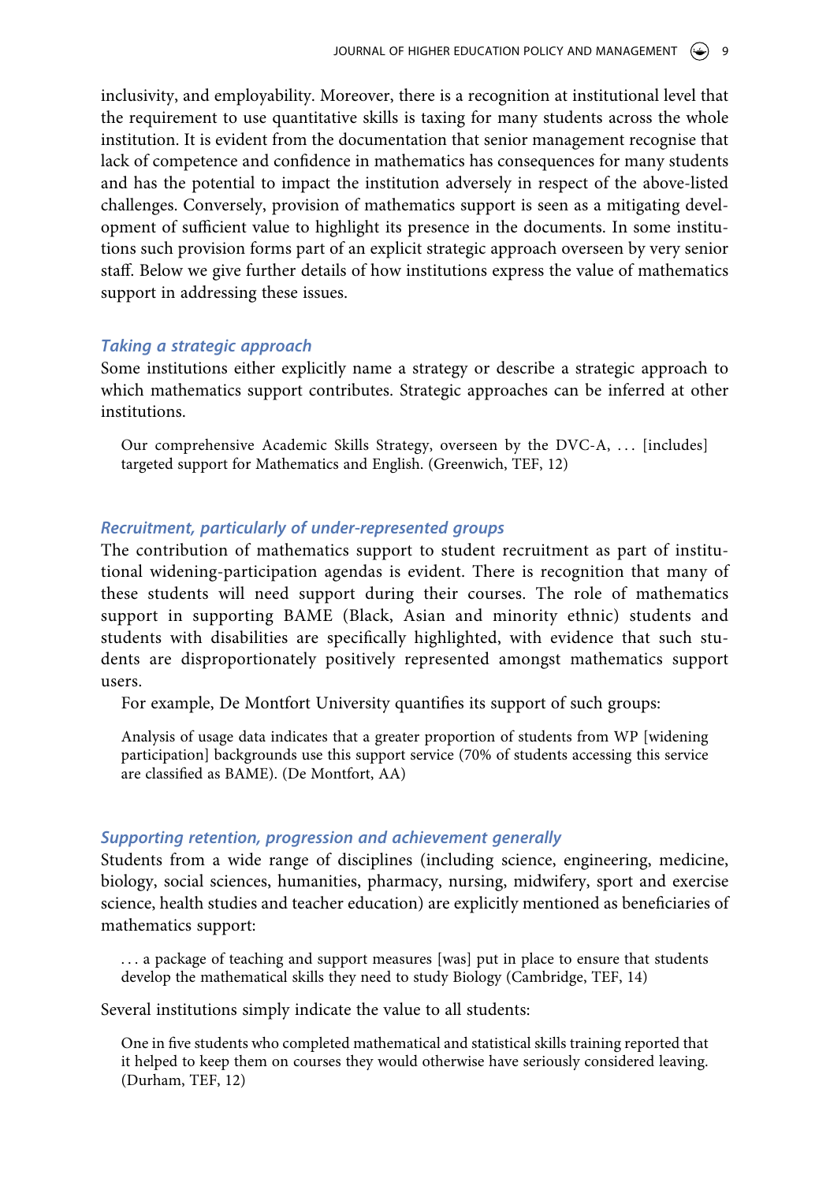inclusivity, and employability. Moreover, there is a recognition at institutional level that the requirement to use quantitative skills is taxing for many students across the whole institution. It is evident from the documentation that senior management recognise that lack of competence and confidence in mathematics has consequences for many students and has the potential to impact the institution adversely in respect of the above-listed challenges. Conversely, provision of mathematics support is seen as a mitigating development of sufficient value to highlight its presence in the documents. In some institutions such provision forms part of an explicit strategic approach overseen by very senior staff. Below we give further details of how institutions express the value of mathematics support in addressing these issues.

#### *Taking a strategic approach*

Some institutions either explicitly name a strategy or describe a strategic approach to which mathematics support contributes. Strategic approaches can be inferred at other institutions.

Our comprehensive Academic Skills Strategy, overseen by the DVC-A, . . . [includes] targeted support for Mathematics and English. (Greenwich, TEF, 12)

#### *Recruitment, particularly of under-represented groups*

The contribution of mathematics support to student recruitment as part of institutional widening-participation agendas is evident. There is recognition that many of these students will need support during their courses. The role of mathematics support in supporting BAME (Black, Asian and minority ethnic) students and students with disabilities are specifically highlighted, with evidence that such students are disproportionately positively represented amongst mathematics support users.

For example, De Montfort University quantifies its support of such groups:

Analysis of usage data indicates that a greater proportion of students from WP [widening participation] backgrounds use this support service (70% of students accessing this service are classified as BAME). (De Montfort, AA)

#### *Supporting retention, progression and achievement generally*

Students from a wide range of disciplines (including science, engineering, medicine, biology, social sciences, humanities, pharmacy, nursing, midwifery, sport and exercise science, health studies and teacher education) are explicitly mentioned as beneficiaries of mathematics support:

. . . a package of teaching and support measures [was] put in place to ensure that students develop the mathematical skills they need to study Biology (Cambridge, TEF, 14)

Several institutions simply indicate the value to all students:

One in five students who completed mathematical and statistical skills training reported that it helped to keep them on courses they would otherwise have seriously considered leaving. (Durham, TEF, 12)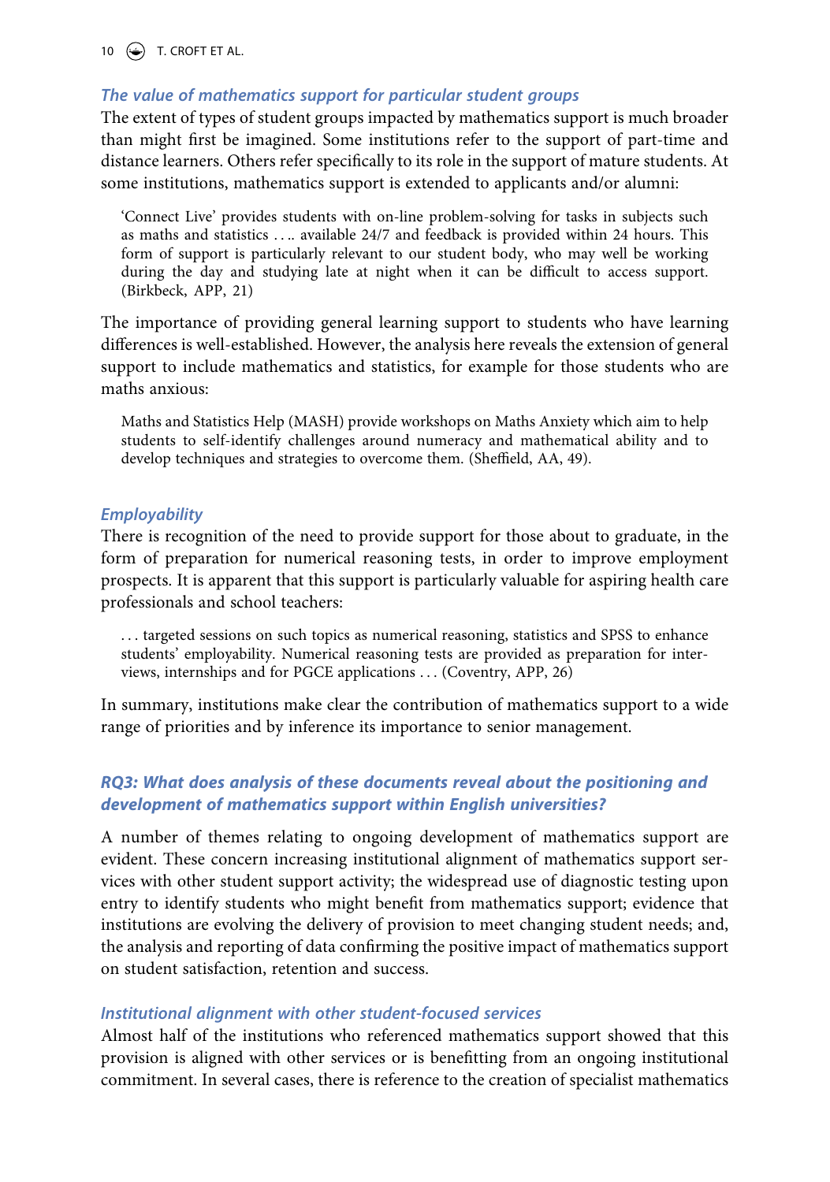10  $\left(\rightarrow\right)$  T. CROFT ET AL.

#### *The value of mathematics support for particular student groups*

The extent of types of student groups impacted by mathematics support is much broader than might first be imagined. Some institutions refer to the support of part-time and distance learners. Others refer specifically to its role in the support of mature students. At some institutions, mathematics support is extended to applicants and/or alumni:

'Connect Live' provides students with on-line problem-solving for tasks in subjects such as maths and statistics . . .. available 24/7 and feedback is provided within 24 hours. This form of support is particularly relevant to our student body, who may well be working during the day and studying late at night when it can be difficult to access support. (Birkbeck, APP, 21)

The importance of providing general learning support to students who have learning differences is well-established. However, the analysis here reveals the extension of general support to include mathematics and statistics, for example for those students who are maths anxious:

Maths and Statistics Help (MASH) provide workshops on Maths Anxiety which aim to help students to self-identify challenges around numeracy and mathematical ability and to develop techniques and strategies to overcome them. (Sheffield, AA, 49).

#### *Employability*

There is recognition of the need to provide support for those about to graduate, in the form of preparation for numerical reasoning tests, in order to improve employment prospects. It is apparent that this support is particularly valuable for aspiring health care professionals and school teachers:

. . . targeted sessions on such topics as numerical reasoning, statistics and SPSS to enhance students' employability. Numerical reasoning tests are provided as preparation for interviews, internships and for PGCE applications . . . (Coventry, APP, 26)

In summary, institutions make clear the contribution of mathematics support to a wide range of priorities and by inference its importance to senior management.

#### *RQ3: What does analysis of these documents reveal about the positioning and development of mathematics support within English universities?*

A number of themes relating to ongoing development of mathematics support are evident. These concern increasing institutional alignment of mathematics support services with other student support activity; the widespread use of diagnostic testing upon entry to identify students who might benefit from mathematics support; evidence that institutions are evolving the delivery of provision to meet changing student needs; and, the analysis and reporting of data confirming the positive impact of mathematics support on student satisfaction, retention and success.

#### *Institutional alignment with other student-focused services*

Almost half of the institutions who referenced mathematics support showed that this provision is aligned with other services or is benefitting from an ongoing institutional commitment. In several cases, there is reference to the creation of specialist mathematics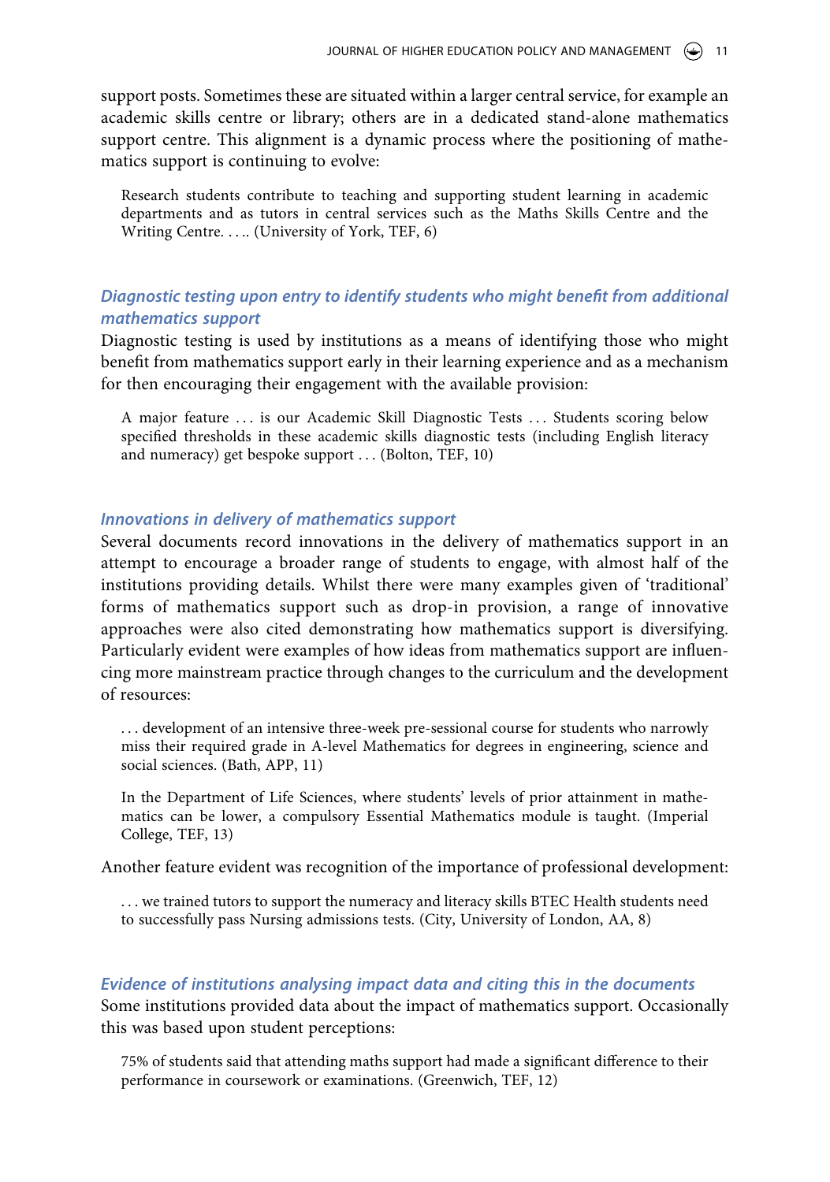support posts. Sometimes these are situated within a larger central service, for example an academic skills centre or library; others are in a dedicated stand-alone mathematics support centre. This alignment is a dynamic process where the positioning of mathematics support is continuing to evolve:

Research students contribute to teaching and supporting student learning in academic departments and as tutors in central services such as the Maths Skills Centre and the Writing Centre. . . . . (University of York, TEF, 6)

#### *Diagnostic testing upon entry to identify students who might benefit from additional mathematics support*

Diagnostic testing is used by institutions as a means of identifying those who might benefit from mathematics support early in their learning experience and as a mechanism for then encouraging their engagement with the available provision:

A major feature ... is our Academic Skill Diagnostic Tests ... Students scoring below specified thresholds in these academic skills diagnostic tests (including English literacy and numeracy) get bespoke support . . . (Bolton, TEF, 10)

#### *Innovations in delivery of mathematics support*

Several documents record innovations in the delivery of mathematics support in an attempt to encourage a broader range of students to engage, with almost half of the institutions providing details. Whilst there were many examples given of 'traditional' forms of mathematics support such as drop-in provision, a range of innovative approaches were also cited demonstrating how mathematics support is diversifying. Particularly evident were examples of how ideas from mathematics support are influencing more mainstream practice through changes to the curriculum and the development of resources:

. . . development of an intensive three-week pre-sessional course for students who narrowly miss their required grade in A-level Mathematics for degrees in engineering, science and social sciences. (Bath, APP, 11)

In the Department of Life Sciences, where students' levels of prior attainment in mathematics can be lower, a compulsory Essential Mathematics module is taught. (Imperial College, TEF, 13)

Another feature evident was recognition of the importance of professional development:

. . . we trained tutors to support the numeracy and literacy skills BTEC Health students need to successfully pass Nursing admissions tests. (City, University of London, AA, 8)

#### *Evidence of institutions analysing impact data and citing this in the documents*

Some institutions provided data about the impact of mathematics support. Occasionally this was based upon student perceptions:

75% of students said that attending maths support had made a significant difference to their performance in coursework or examinations. (Greenwich, TEF, 12)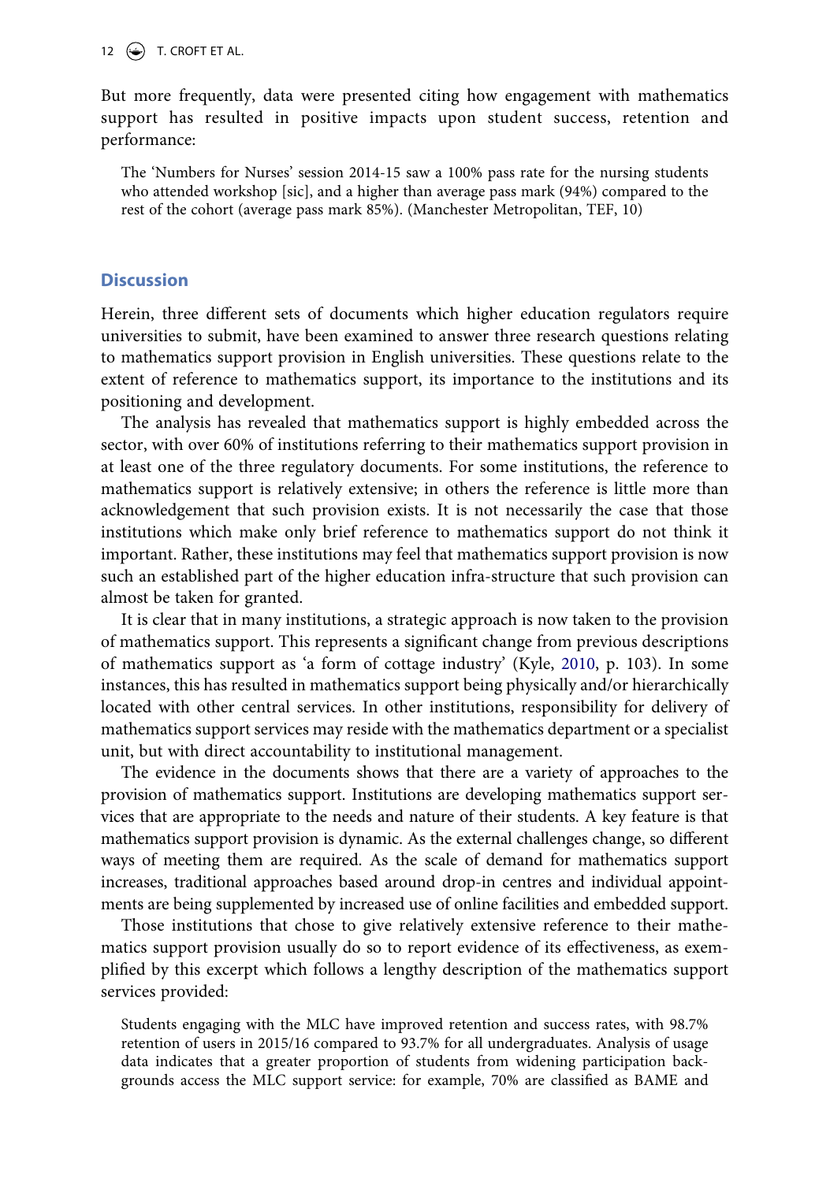12  $\left(\rightarrow\right)$  T. CROFT ET AL.

But more frequently, data were presented citing how engagement with mathematics support has resulted in positive impacts upon student success, retention and performance:

The 'Numbers for Nurses' session 2014-15 saw a 100% pass rate for the nursing students who attended workshop [sic], and a higher than average pass mark (94%) compared to the rest of the cohort (average pass mark 85%). (Manchester Metropolitan, TEF, 10)

#### **Discussion**

Herein, three different sets of documents which higher education regulators require universities to submit, have been examined to answer three research questions relating to mathematics support provision in English universities. These questions relate to the extent of reference to mathematics support, its importance to the institutions and its positioning and development.

The analysis has revealed that mathematics support is highly embedded across the sector, with over 60% of institutions referring to their mathematics support provision in at least one of the three regulatory documents. For some institutions, the reference to mathematics support is relatively extensive; in others the reference is little more than acknowledgement that such provision exists. It is not necessarily the case that those institutions which make only brief reference to mathematics support do not think it important. Rather, these institutions may feel that mathematics support provision is now such an established part of the higher education infra-structure that such provision can almost be taken for granted.

<span id="page-13-0"></span>It is clear that in many institutions, a strategic approach is now taken to the provision of mathematics support. This represents a significant change from previous descriptions of mathematics support as 'a form of cottage industry' (Kyle, [2010,](#page-16-15) p. 103). In some instances, this has resulted in mathematics support being physically and/or hierarchically located with other central services. In other institutions, responsibility for delivery of mathematics support services may reside with the mathematics department or a specialist unit, but with direct accountability to institutional management.

The evidence in the documents shows that there are a variety of approaches to the provision of mathematics support. Institutions are developing mathematics support services that are appropriate to the needs and nature of their students. A key feature is that mathematics support provision is dynamic. As the external challenges change, so different ways of meeting them are required. As the scale of demand for mathematics support increases, traditional approaches based around drop-in centres and individual appointments are being supplemented by increased use of online facilities and embedded support.

Those institutions that chose to give relatively extensive reference to their mathematics support provision usually do so to report evidence of its effectiveness, as exemplified by this excerpt which follows a lengthy description of the mathematics support services provided:

Students engaging with the MLC have improved retention and success rates, with 98.7% retention of users in 2015/16 compared to 93.7% for all undergraduates. Analysis of usage data indicates that a greater proportion of students from widening participation backgrounds access the MLC support service: for example, 70% are classified as BAME and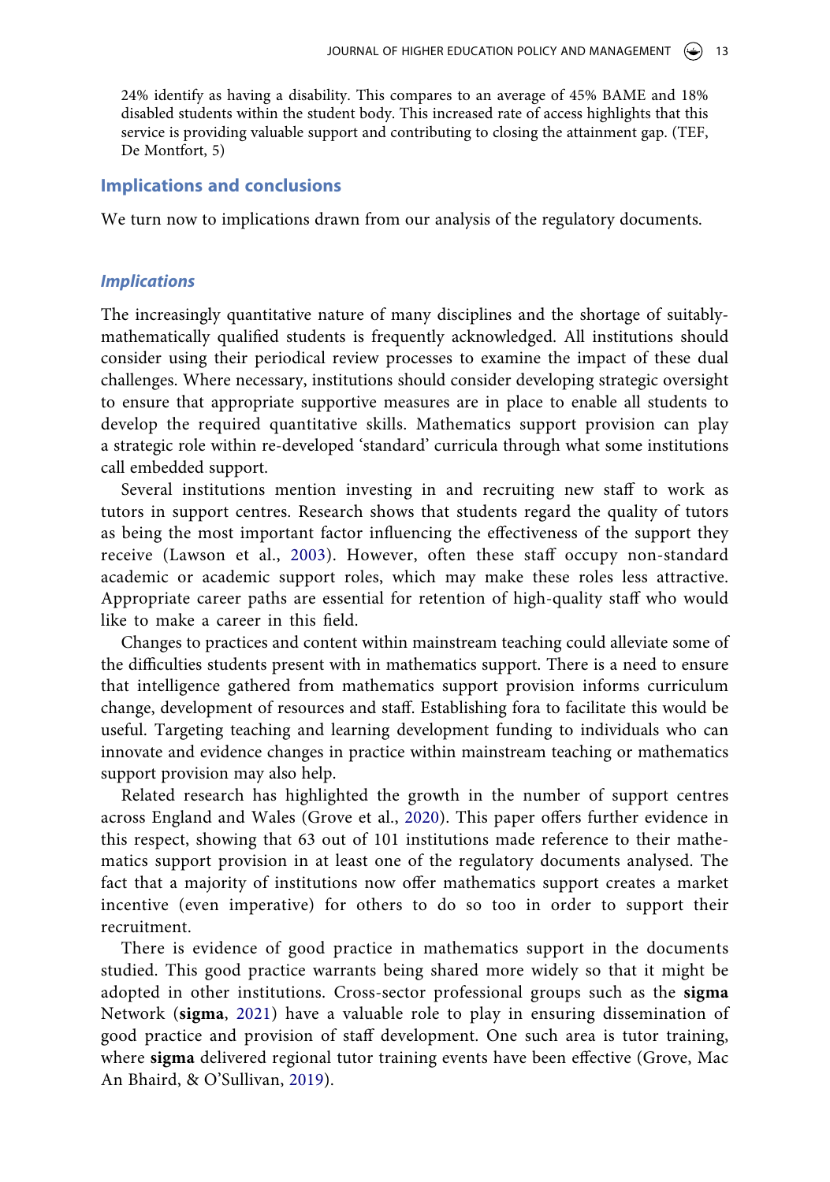24% identify as having a disability. This compares to an average of 45% BAME and 18% disabled students within the student body. This increased rate of access highlights that this service is providing valuable support and contributing to closing the attainment gap. (TEF, De Montfort, 5)

#### **Implications and conclusions**

We turn now to implications drawn from our analysis of the regulatory documents.

#### *Implications*

The increasingly quantitative nature of many disciplines and the shortage of suitablymathematically qualified students is frequently acknowledged. All institutions should consider using their periodical review processes to examine the impact of these dual challenges. Where necessary, institutions should consider developing strategic oversight to ensure that appropriate supportive measures are in place to enable all students to develop the required quantitative skills. Mathematics support provision can play a strategic role within re-developed 'standard' curricula through what some institutions call embedded support.

Several institutions mention investing in and recruiting new staff to work as tutors in support centres. Research shows that students regard the quality of tutors as being the most important factor influencing the effectiveness of the support they receive (Lawson et al., [2003\)](#page-16-6). However, often these staff occupy non-standard academic or academic support roles, which may make these roles less attractive. Appropriate career paths are essential for retention of high-quality staff who would like to make a career in this field.

Changes to practices and content within mainstream teaching could alleviate some of the difficulties students present with in mathematics support. There is a need to ensure that intelligence gathered from mathematics support provision informs curriculum change, development of resources and staff. Establishing fora to facilitate this would be useful. Targeting teaching and learning development funding to individuals who can innovate and evidence changes in practice within mainstream teaching or mathematics support provision may also help.

Related research has highlighted the growth in the number of support centres across England and Wales (Grove et al., [2020](#page-16-11)). This paper offers further evidence in this respect, showing that 63 out of 101 institutions made reference to their mathematics support provision in at least one of the regulatory documents analysed. The fact that a majority of institutions now offer mathematics support creates a market incentive (even imperative) for others to do so too in order to support their recruitment.

<span id="page-14-1"></span><span id="page-14-0"></span>There is evidence of good practice in mathematics support in the documents studied. This good practice warrants being shared more widely so that it might be adopted in other institutions. Cross-sector professional groups such as the **sigma**  Network (**sigma**, [2021](#page-17-10)) have a valuable role to play in ensuring dissemination of good practice and provision of staff development. One such area is tutor training, where **sigma** delivered regional tutor training events have been effective (Grove, Mac An Bhaird, & O'Sullivan, [2019\)](#page-16-16).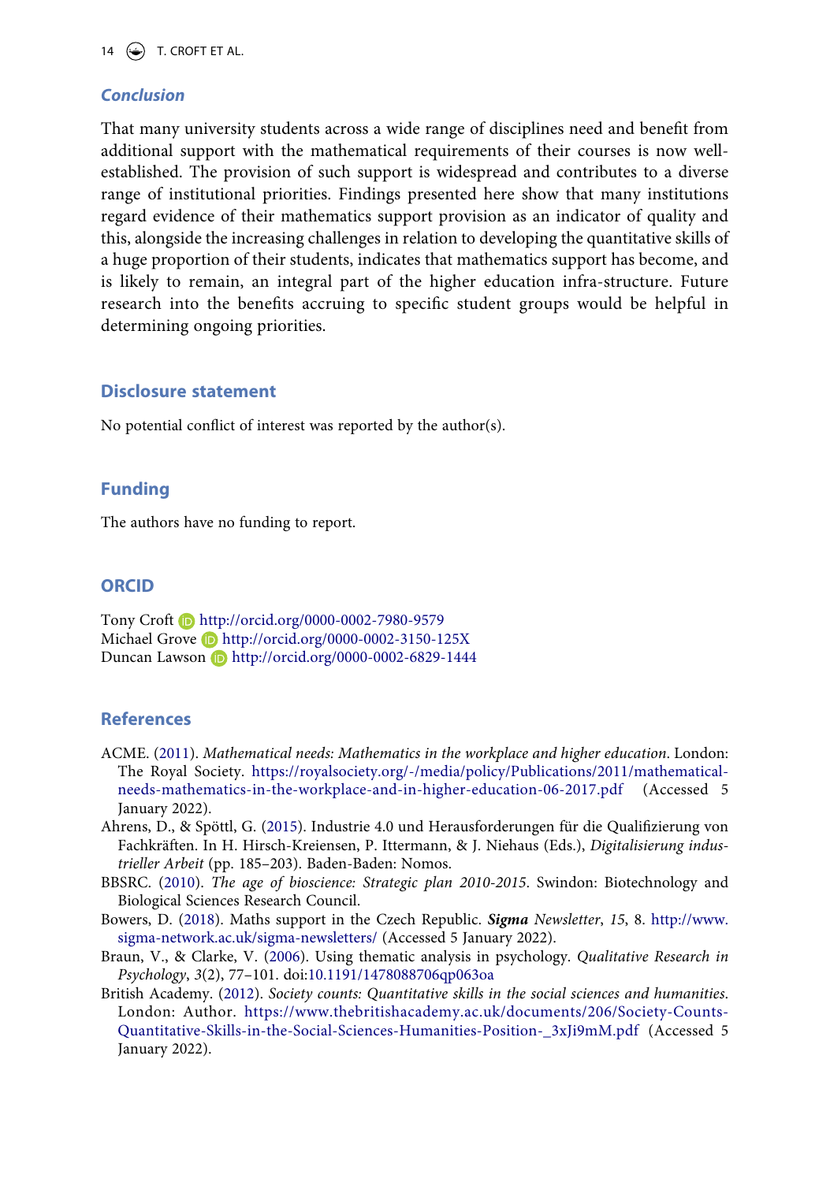14  $\left(\bigoplus$  T. CROFT ET AL.

#### *Conclusion*

That many university students across a wide range of disciplines need and benefit from additional support with the mathematical requirements of their courses is now wellestablished. The provision of such support is widespread and contributes to a diverse range of institutional priorities. Findings presented here show that many institutions regard evidence of their mathematics support provision as an indicator of quality and this, alongside the increasing challenges in relation to developing the quantitative skills of a huge proportion of their students, indicates that mathematics support has become, and is likely to remain, an integral part of the higher education infra-structure. Future research into the benefits accruing to specific student groups would be helpful in determining ongoing priorities.

#### **Disclosure statement**

No potential conflict of interest was reported by the author(s).

#### **Funding**

The authors have no funding to report.

#### **ORCID**

Tony Croft http://orcid.org/0000-0002-7980-9579 Michael Grove **b** http://orcid.org/0000-0002-3150-125X Duncan Lawson Dhttp://orcid.org/0000-0002-6829-1444

#### **References**

- <span id="page-15-3"></span>ACME. ([2011\)](#page-3-0). *Mathematical needs: Mathematics in the workplace and higher education*. London: The Royal Society. [https://royalsociety.org/-/media/policy/Publications/2011/mathematical](https://royalsociety.org/-/media/policy/Publications/2011/mathematical-needs-mathematics-in-the-workplace-and-in-higher-education-06-2017.pdf)[needs-mathematics-in-the-workplace-and-in-higher-education-06-2017.pdf](https://royalsociety.org/-/media/policy/Publications/2011/mathematical-needs-mathematics-in-the-workplace-and-in-higher-education-06-2017.pdf) (Accessed 5 January 2022).
- <span id="page-15-2"></span>Ahrens, D., & Spöttl, G. ([2015\)](#page-3-1). Industrie 4.0 und Herausforderungen für die Qualifizierung von Fachkräften. In H. Hirsch-Kreiensen, P. Ittermann, & J. Niehaus (Eds.), *Digitalisierung industrieller Arbeit* (pp. 185–203). Baden-Baden: Nomos.
- <span id="page-15-0"></span>BBSRC. ([2010\)](#page-3-2). *The age of bioscience: Strategic plan 2010-2015*. Swindon: Biotechnology and Biological Sciences Research Council.
- <span id="page-15-4"></span>Bowers, D. [\(2018\)](#page-3-3). Maths support in the Czech Republic. *Sigma Newsletter*, *15*, 8. [http://www.](http://www.sigma-network.ac.uk/sigma-newsletters/) [sigma-network.ac.uk/sigma-newsletters/](http://www.sigma-network.ac.uk/sigma-newsletters/) (Accessed 5 January 2022).
- <span id="page-15-5"></span>Braun, V., & Clarke, V. [\(2006](#page-5-0)). Using thematic analysis in psychology. *Qualitative Research in Psychology*, *3*(2), 77–101. doi:[10.1191/1478088706qp063oa](https://doi.org/10.1191/1478088706qp063oa)
- <span id="page-15-1"></span>British Academy. [\(2012](#page-3-2)). *Society counts: Quantitative skills in the social sciences and humanities*. London: Author. [https://www.thebritishacademy.ac.uk/documents/206/Society-Counts-](https://www.thebritishacademy.ac.uk/documents/206/Society-Counts-Quantitative-Skills-in-the-Social-Sciences-Humanities-Position-_3xJi9mM.pdf)[Quantitative-Skills-in-the-Social-Sciences-Humanities-Position-\\_3xJi9mM.pdf](https://www.thebritishacademy.ac.uk/documents/206/Society-Counts-Quantitative-Skills-in-the-Social-Sciences-Humanities-Position-_3xJi9mM.pdf) (Accessed 5 January 2022).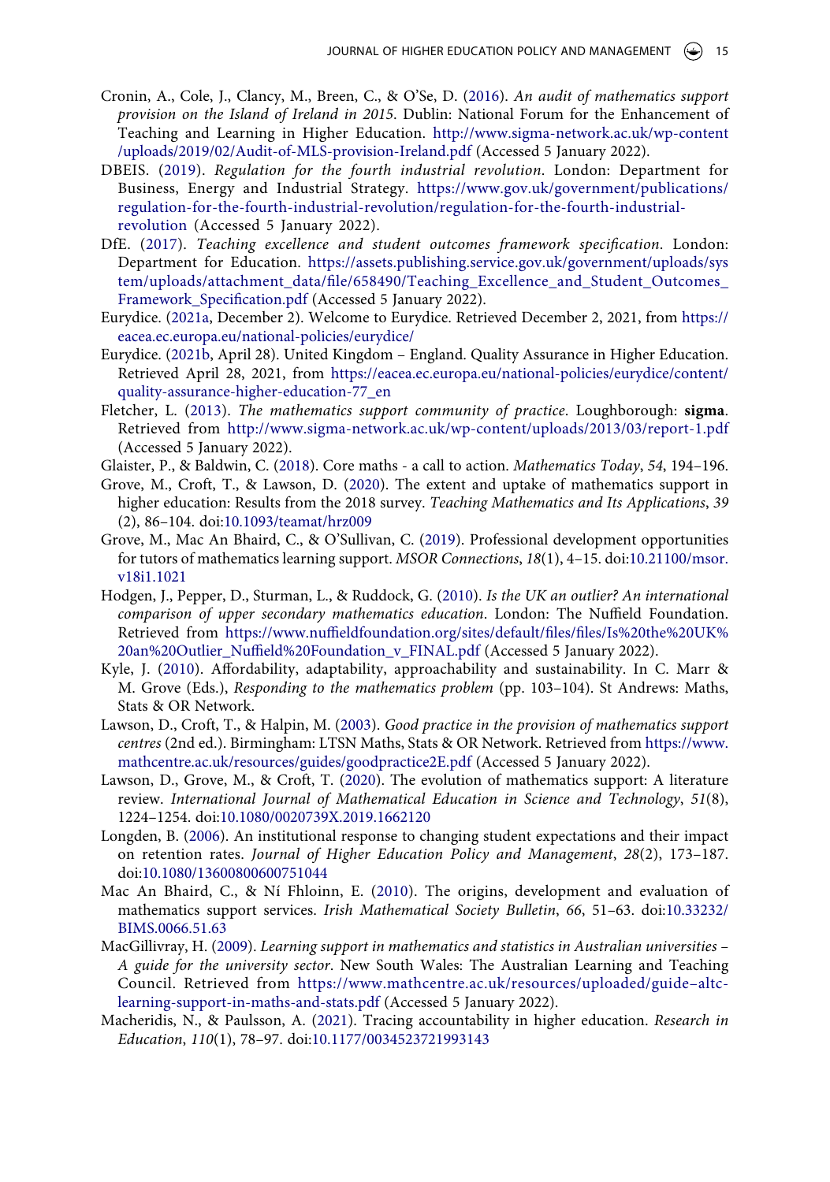- <span id="page-16-9"></span>Cronin, A., Cole, J., Clancy, M., Breen, C., & O'Se, D. ([2016\)](#page-3-4). *An audit of mathematics support provision on the Island of Ireland in 2015*. Dublin: National Forum for the Enhancement of Teaching and Learning in Higher Education. [http://www.sigma-network.ac.uk/wp-content](http://www.sigma-network.ac.uk/wp-content/uploads/2019/02/Audit-of-MLS-provision-Ireland.pdf) [/uploads/2019/02/Audit-of-MLS-provision-Ireland.pdf](http://www.sigma-network.ac.uk/wp-content/uploads/2019/02/Audit-of-MLS-provision-Ireland.pdf) (Accessed 5 January 2022).
- <span id="page-16-3"></span>DBEIS. ([2019\)](#page-3-5). *Regulation for the fourth industrial revolution*. London: Department for Business, Energy and Industrial Strategy. [https://www.gov.uk/government/publications/](https://www.gov.uk/government/publications/regulation-for-the-fourth-industrial-revolution/regulation-for-the-fourth-industrial-revolution) [regulation-for-the-fourth-industrial-revolution/regulation-for-the-fourth-industrial](https://www.gov.uk/government/publications/regulation-for-the-fourth-industrial-revolution/regulation-for-the-fourth-industrial-revolution)[revolution](https://www.gov.uk/government/publications/regulation-for-the-fourth-industrial-revolution/regulation-for-the-fourth-industrial-revolution) (Accessed 5 January 2022).
- <span id="page-16-13"></span>DfE. ([2017\)](#page-6-0). *Teaching excellence and student outcomes framework specification*. London: Department for Education. [https://assets.publishing.service.gov.uk/government/uploads/sys](https://assets.publishing.service.gov.uk/government/uploads/system/uploads/attachment_data/file/658490/Teaching_Excellence_and_Student_Outcomes_Framework_Specification.pdf) [tem/uploads/attachment\\_data/file/658490/Teaching\\_Excellence\\_and\\_Student\\_Outcomes\\_](https://assets.publishing.service.gov.uk/government/uploads/system/uploads/attachment_data/file/658490/Teaching_Excellence_and_Student_Outcomes_Framework_Specification.pdf) Framework Specification.pdf (Accessed 5 January 2022).
- <span id="page-16-1"></span>Eurydice. ([2021a](#page-2-2), December 2). Welcome to Eurydice. Retrieved December 2, 2021, from [https://](https://eacea.ec.europa.eu/national-policies/eurydice/) [eacea.ec.europa.eu/national-policies/eurydice/](https://eacea.ec.europa.eu/national-policies/eurydice/)
- <span id="page-16-2"></span>Eurydice. ([2021b,](#page-2-3) April 28). United Kingdom – England. Quality Assurance in Higher Education. Retrieved April 28, 2021, from [https://eacea.ec.europa.eu/national-policies/eurydice/content/](https://eacea.ec.europa.eu/national-policies/eurydice/content/quality-assurance-higher-education-77_en) [quality-assurance-higher-education-77\\_en](https://eacea.ec.europa.eu/national-policies/eurydice/content/quality-assurance-higher-education-77_en)
- <span id="page-16-14"></span>Fletcher, L. [\(2013\)](#page-9-0). *The mathematics support community of practice*. Loughborough: **sigma**. Retrieved from <http://www.sigma-network.ac.uk/wp-content/uploads/2013/03/report-1.pdf> (Accessed 5 January 2022).
- <span id="page-16-7"></span>Glaister, P., & Baldwin, C. ([2018](#page-3-6)). Core maths - a call to action. *Mathematics Today*, *54*, 194–196.
- <span id="page-16-11"></span>Grove, M., Croft, T., & Lawson, D. ([2020\)](#page-4-0). The extent and uptake of mathematics support in higher education: Results from the 2018 survey. *Teaching Mathematics and Its Applications*, *39*  (2), 86–104. doi:[10.1093/teamat/hrz009](https://doi.org/10.1093/teamat/hrz009)
- <span id="page-16-16"></span>Grove, M., Mac An Bhaird, C., & O'Sullivan, C. ([2019\)](#page-14-0). Professional development opportunities for tutors of mathematics learning support. *MSOR Connections*, *18*(1), 4–15. doi:[10.21100/msor.](https://doi.org/10.21100/msor.v18i1.1021) [v18i1.1021](https://doi.org/10.21100/msor.v18i1.1021)
- <span id="page-16-4"></span>Hodgen, J., Pepper, D., Sturman, L., & Ruddock, G. ([2010](#page-3-7)). *Is the UK an outlier? An international comparison of upper secondary mathematics education*. London: The Nuffield Foundation. Retrieved from [https://www.nuffieldfoundation.org/sites/default/files/files/Is%20the%20UK%](https://www.nuffieldfoundation.org/sites/default/files/files/Is%20the%20UK%20an%20Outlier_Nuffield%20Foundation_v_FINAL.pdf) [20an%20Outlier\\_Nuffield%20Foundation\\_v\\_FINAL.pdf](https://www.nuffieldfoundation.org/sites/default/files/files/Is%20the%20UK%20an%20Outlier_Nuffield%20Foundation_v_FINAL.pdf) (Accessed 5 January 2022).
- <span id="page-16-15"></span>Kyle, J. ([2010\)](#page-13-0). Affordability, adaptability, approachability and sustainability. In C. Marr & M. Grove (Eds.), *Responding to the mathematics problem* (pp. 103–104). St Andrews: Maths, Stats & OR Network.
- <span id="page-16-6"></span>Lawson, D., Croft, T., & Halpin, M. [\(2003\)](#page-3-8). *Good practice in the provision of mathematics support centres* (2nd ed.). Birmingham: LTSN Maths, Stats & OR Network. Retrieved from [https://www.](https://www.mathcentre.ac.uk/resources/guides/goodpractice2E.pdf) [mathcentre.ac.uk/resources/guides/goodpractice2E.pdf](https://www.mathcentre.ac.uk/resources/guides/goodpractice2E.pdf) (Accessed 5 January 2022).
- <span id="page-16-10"></span>Lawson, D., Grove, M., & Croft, T. [\(2020](#page-4-1)). The evolution of mathematics support: A literature review. *International Journal of Mathematical Education in Science and Technology*, *51*(8), 1224–1254. doi:[10.1080/0020739X.2019.1662120](https://doi.org/10.1080/0020739X.2019.1662120)
- <span id="page-16-5"></span>Longden, B. [\(2006\)](#page-3-9). An institutional response to changing student expectations and their impact on retention rates. *Journal of Higher Education Policy and Management*, *28*(2), 173–187. doi:[10.1080/13600800600751044](https://doi.org/10.1080/13600800600751044)
- <span id="page-16-12"></span>Mac An Bhaird, C., & Ní Fhloinn, E. ([2010\)](#page-5-1). The origins, development and evaluation of mathematics support services. *Irish Mathematical Society Bulletin*, *66*, 51–63. doi:[10.33232/](https://doi.org/10.33232/BIMS.0066.51.63) [BIMS.0066.51.63](https://doi.org/10.33232/BIMS.0066.51.63)
- <span id="page-16-8"></span>MacGillivray, H. ([2009](#page-3-4)). *Learning support in mathematics and statistics in Australian universities – A guide for the university sector*. New South Wales: The Australian Learning and Teaching Council. Retrieved from [https://www.mathcentre.ac.uk/resources/uploaded/guide–altc](https://www.mathcentre.ac.uk/resources/uploaded/guide%26#x2013;altc-learning-support-in-maths-and-stats.pdf)[learning-support-in-maths-and-stats.pdf](https://www.mathcentre.ac.uk/resources/uploaded/guide%26#x2013;altc-learning-support-in-maths-and-stats.pdf) (Accessed 5 January 2022).
- <span id="page-16-0"></span>Macheridis, N., & Paulsson, A. ([2021\)](#page-2-4). Tracing accountability in higher education. *Research in Education*, *110*(1), 78–97. doi:[10.1177/0034523721993143](https://doi.org/10.1177/0034523721993143)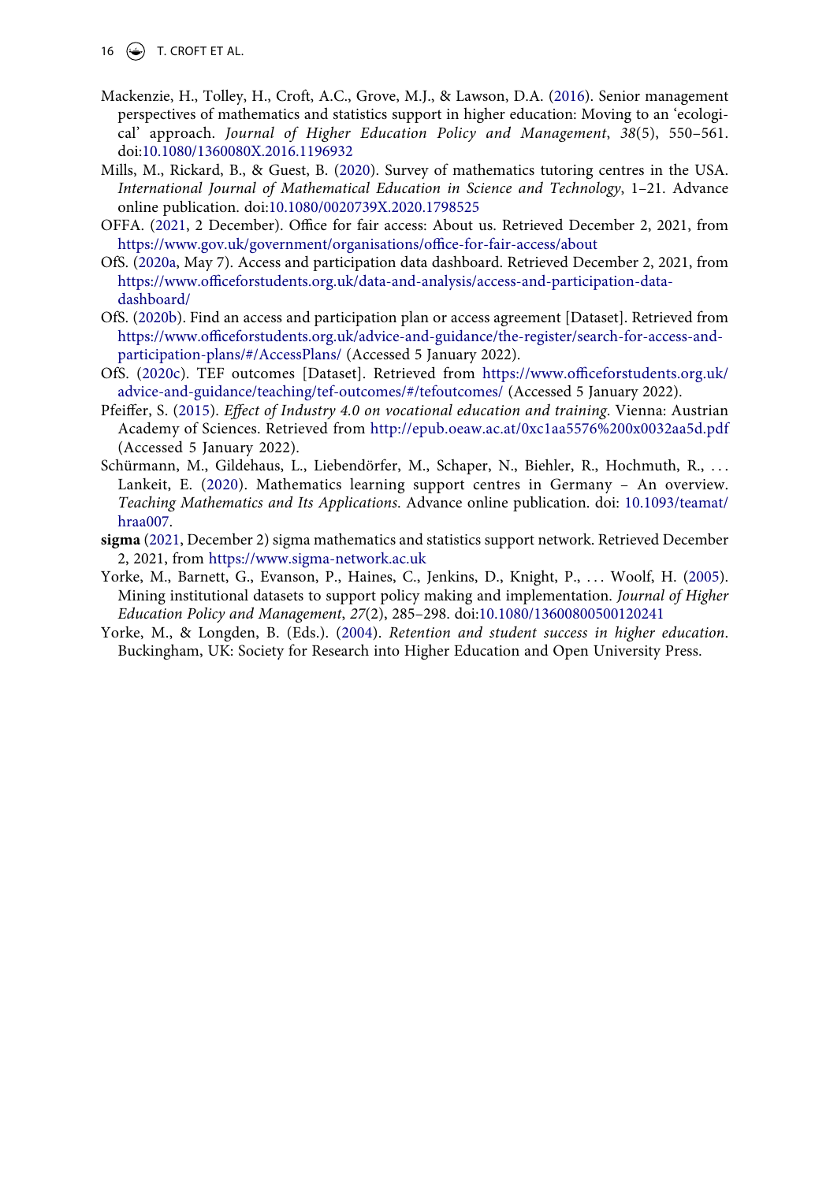16  $\left(\bigoplus$  T. CROFT ET AL.

- <span id="page-17-5"></span>Mackenzie, H., Tolley, H., Croft, A.C., Grove, M.J., & Lawson, D.A. [\(2016\)](#page-4-2). Senior management perspectives of mathematics and statistics support in higher education: Moving to an 'ecological' approach. *Journal of Higher Education Policy and Management*, *38*(5), 550–561. doi:[10.1080/1360080X.2016.1196932](https://doi.org/10.1080/1360080X.2016.1196932)
- <span id="page-17-3"></span>Mills, M., Rickard, B., & Guest, B. ([2020](#page-3-10)). Survey of mathematics tutoring centres in the USA. *International Journal of Mathematical Education in Science and Technology*, 1–21. Advance online publication. doi:[10.1080/0020739X.2020.1798525](https://doi.org/10.1080/0020739X.2020.1798525)
- <span id="page-17-6"></span>OFFA. [\(2021,](#page-7-0) 2 December). Office for fair access: About us. Retrieved December 2, 2021, from <https://www.gov.uk/government/organisations/office-for-fair-access/about>
- <span id="page-17-7"></span>OfS. [\(2020a,](#page-7-1) May 7). Access and participation data dashboard. Retrieved December 2, 2021, from [https://www.officeforstudents.org.uk/data-and-analysis/access-and-participation-data](https://www.officeforstudents.org.uk/data-and-analysis/access-and-participation-data-dashboard/)[dashboard/](https://www.officeforstudents.org.uk/data-and-analysis/access-and-participation-data-dashboard/)
- <span id="page-17-9"></span>OfS. [\(2020b](#page-8-1)). Find an access and participation plan or access agreement [Dataset]. Retrieved from [https://www.officeforstudents.org.uk/advice-and-guidance/the-register/search-for-access-and](https://www.officeforstudents.org.uk/advice-and-guidance/the-register/search-for-access-and-participation-plans/#/AccessPlans/)[participation-plans/#/AccessPlans/](https://www.officeforstudents.org.uk/advice-and-guidance/the-register/search-for-access-and-participation-plans/#/AccessPlans/) (Accessed 5 January 2022).
- <span id="page-17-8"></span>OfS. [\(2020c](#page-8-2)). TEF outcomes [Dataset]. Retrieved from [https://www.officeforstudents.org.uk/](https://www.officeforstudents.org.uk/advice-and-guidance/teaching/tef-outcomes/#/tefoutcomes/) [advice-and-guidance/teaching/tef-outcomes/#/tefoutcomes/](https://www.officeforstudents.org.uk/advice-and-guidance/teaching/tef-outcomes/#/tefoutcomes/) (Accessed 5 January 2022).
- <span id="page-17-1"></span>Pfeiffer, S. [\(2015\)](#page-3-1). *Effect of Industry 4.0 on vocational education and training*. Vienna: Austrian Academy of Sciences. Retrieved from <http://epub.oeaw.ac.at/0xc1aa5576%200x0032aa5d.pdf> (Accessed 5 January 2022).
- <span id="page-17-4"></span>Schürmann, M., Gildehaus, L., Liebendörfer, M., Schaper, N., Biehler, R., Hochmuth, R., . . . Lankeit, E. ([2020\)](#page-3-11). Mathematics learning support centres in Germany – An overview. *Teaching Mathematics and Its Applications*. Advance online publication. doi: [10.1093/teamat/](https://doi.org/10.1093/teamat/hraa007) [hraa007.](https://doi.org/10.1093/teamat/hraa007)
- <span id="page-17-10"></span>**sigma** ([2021](#page-14-1), December 2) sigma mathematics and statistics support network. Retrieved December 2, 2021, from <https://www.sigma-network.ac.uk>
- <span id="page-17-0"></span>Yorke, M., Barnett, G., Evanson, P., Haines, C., Jenkins, D., Knight, P., ... Woolf, H. [\(2005\)](#page-2-5). Mining institutional datasets to support policy making and implementation. *Journal of Higher Education Policy and Management*, *27*(2), 285–298. doi:[10.1080/13600800500120241](https://doi.org/10.1080/13600800500120241)
- <span id="page-17-2"></span>Yorke, M., & Longden, B. (Eds.). [\(2004\)](#page-3-12). *Retention and student success in higher education*. Buckingham, UK: Society for Research into Higher Education and Open University Press.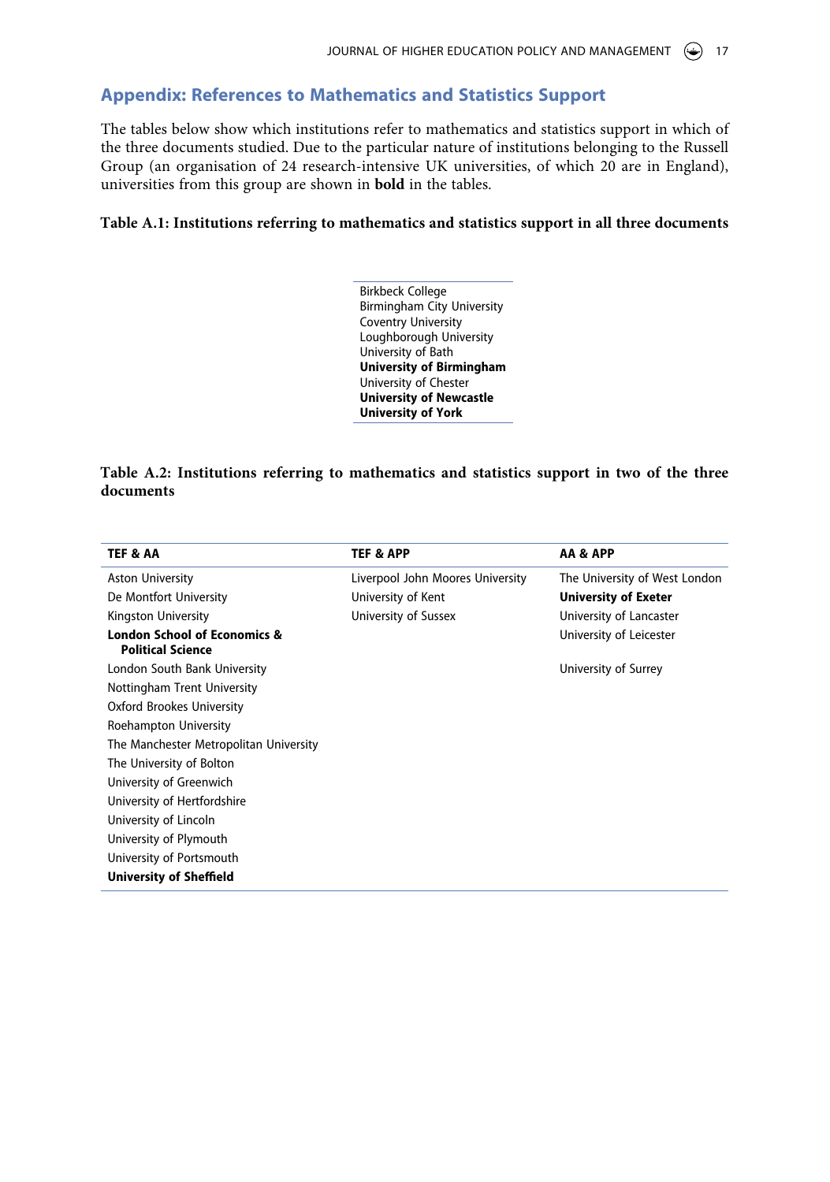#### **Appendix: References to Mathematics and Statistics Support**

The tables below show which institutions refer to mathematics and statistics support in which of the three documents studied. Due to the particular nature of institutions belonging to the Russell Group (an organisation of 24 research-intensive UK universities, of which 20 are in England), universities from this group are shown in **bold** in the tables.

#### **Table A.1: Institutions referring to mathematics and statistics support in all three documents**

Birkbeck College Birmingham City University Coventry University Loughborough University University of Bath **University of Birmingham** University of Chester **University of Newcastle University of York**

**Table A.2: Institutions referring to mathematics and statistics support in two of the three documents**

| TEF & AA                                                            | <b>TEF &amp; APP</b>             | AA & APP                      |
|---------------------------------------------------------------------|----------------------------------|-------------------------------|
| <b>Aston University</b>                                             | Liverpool John Moores University | The University of West London |
| De Montfort University                                              | University of Kent               | <b>University of Exeter</b>   |
| Kingston University                                                 | University of Sussex             | University of Lancaster       |
| <b>London School of Economics &amp;</b><br><b>Political Science</b> |                                  | University of Leicester       |
| London South Bank University                                        |                                  | University of Surrey          |
| Nottingham Trent University                                         |                                  |                               |
| Oxford Brookes University                                           |                                  |                               |
| Roehampton University                                               |                                  |                               |
| The Manchester Metropolitan University                              |                                  |                               |
| The University of Bolton                                            |                                  |                               |
| University of Greenwich                                             |                                  |                               |
| University of Hertfordshire                                         |                                  |                               |
| University of Lincoln                                               |                                  |                               |
| University of Plymouth                                              |                                  |                               |
| University of Portsmouth                                            |                                  |                               |
| <b>University of Sheffield</b>                                      |                                  |                               |